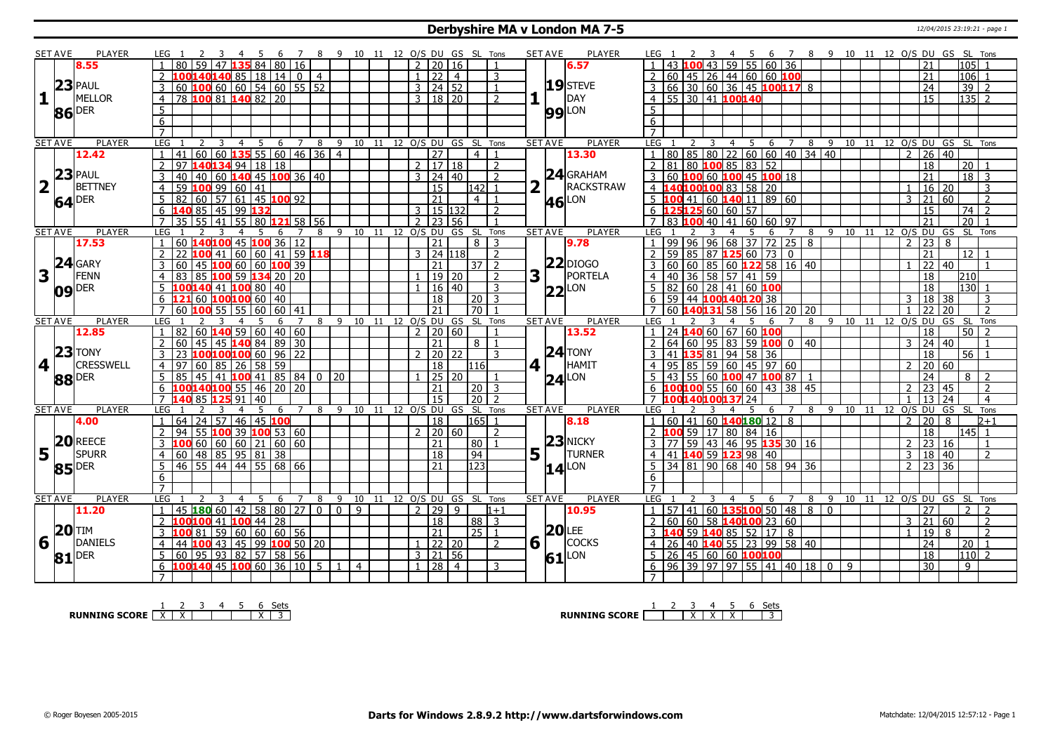#### **Derbyshire MA v London MA 7-5** 12/04/2015 23:19:21 - page 1

|                                      | SET AVE        | <b>PLAYER</b>       |                                   |                                                                                |                 |                        |                |                |                     |    |                    |                        |                 | GS SL Tons            |                          |                         | <b>SET AVE</b><br>PLAYER        | 9 10 11 12 O/S DU GS SL Tons<br>-8                                                                                                                                   |
|--------------------------------------|----------------|---------------------|-----------------------------------|--------------------------------------------------------------------------------|-----------------|------------------------|----------------|----------------|---------------------|----|--------------------|------------------------|-----------------|-----------------------|--------------------------|-------------------------|---------------------------------|----------------------------------------------------------------------------------------------------------------------------------------------------------------------|
|                                      |                | 8.55                |                                   | 59<br>  47   13!                                                               | 84              | 80                     | 16             |                |                     |    | 12 O/S DU          | $\overline{2}$         | 20              | 16                    | $\overline{1}$           |                         | 6.57                            | $60 \, 36$<br>59 55<br>105<br>43<br>21                                                                                                                               |
|                                      |                |                     | $\mathcal{L}$                     | 100 <mark>140</mark> 140 85   18   14   0                                      |                 |                        |                | $\overline{4}$ |                     |    |                    | $\mathbf{1}$           | 22              | $\overline{4}$        | 3                        |                         |                                 | $ 45 26 44 60 60$ 100<br>$\overline{21}$<br>106<br>$\overline{2}$<br>60<br>$\overline{1}$                                                                            |
|                                      |                | $23$ PAUL           |                                   |                                                                                |                 |                        |                |                |                     |    |                    | $3 \mid 24 \mid 52$    |                 |                       |                          |                         | 19 STEVE                        | 3                                                                                                                                                                    |
|                                      |                |                     | 3                                 | 60 100 60 60 54 60 55 52                                                       |                 |                        |                |                |                     |    |                    |                        |                 |                       | 1                        |                         |                                 | $ 66 30 60 36 45$ 100117 8<br>$\overline{24}$<br>39<br>$\overline{z}$                                                                                                |
| $\mathbf{1}$ $\overline{\mathbf{1}}$ |                | <b>MELLOR</b>       | $\overline{4}$                    | 78 100 81 140 82 20                                                            |                 |                        |                |                |                     |    |                    | 3   18   20            |                 |                       | $\overline{2}$           |                         | DAY                             | 4 55 30 41 100140<br>$\overline{135}$ 2<br>$\overline{15}$                                                                                                           |
|                                      |                | 86 DER              | 5                                 |                                                                                |                 |                        |                |                |                     |    |                    |                        |                 |                       |                          |                         | <b>99</b> LON                   | 5                                                                                                                                                                    |
|                                      |                |                     | 6                                 |                                                                                |                 |                        |                |                |                     |    |                    |                        |                 |                       |                          |                         |                                 | 6                                                                                                                                                                    |
|                                      |                |                     |                                   |                                                                                |                 |                        |                |                |                     |    |                    |                        |                 |                       |                          |                         |                                 |                                                                                                                                                                      |
|                                      | <b>SET AVE</b> | <b>PLAYER</b>       | LEG                               | 3                                                                              | $\overline{4}$  | 5<br>6                 | $\overline{7}$ | 8              | 9                   |    | 10 11 12 0/S DU GS |                        |                 | SL                    | Tons                     |                         | <b>SET AVE</b><br><b>PLAYER</b> | $8 \quad 9$<br>10 11 12 0/S DU GS SL Tons<br>LEG<br>4 <sub>5</sub><br>6 <sup>7</sup><br>3                                                                            |
|                                      |                | 12.42               | 41                                | $\vert$ 60 $\vert$ 60 $\vert$ 135 $\vert$ 55 $\vert$ 60 $\vert$ 46 $\vert$ 36  |                 |                        |                |                | $\overline{4}$      |    |                    |                        | $\overline{27}$ | $\overline{4}$        |                          |                         | 13.30                           | 80 85 80 22 60 60 40 34 40<br>$\overline{2}$<br>$26 \mid 40$                                                                                                         |
|                                      |                |                     | $\overline{2}$                    | 97 140134 94 18 18                                                             |                 |                        |                |                |                     |    |                    | 2   17   18            |                 |                       | $\overline{2}$           |                         |                                 | 18<br>20 <sup>1</sup>                                                                                                                                                |
|                                      |                | $23$ PAUL           | 3<br>40                           | 40 60 140 45 100 36 40                                                         |                 |                        |                |                |                     |    |                    | $3 \mid 24 \mid 40$    |                 |                       | $\overline{2}$           |                         | $24$ GRAHAM                     | 2 81 80 <b>100</b> 85 83 52<br>3 60 <b>100</b> 60 <b>100</b> 45 <b>100</b> 18<br>$\overline{21}$<br>$18$ 3                                                           |
| $\overline{\mathbf{2}}$              |                | <b>BETTNEY</b>      | $\overline{59}$<br>$\overline{4}$ | 100996041                                                                      |                 |                        |                |                |                     |    |                    |                        | $\overline{15}$ |                       | 142 1                    | $\overline{\mathbf{2}}$ | RACKSTRAW                       | $\frac{1}{40}$ 100 100 83 58 20<br>$16 \mid 20$<br>$4 \vert 1$<br>3                                                                                                  |
|                                      |                | $64$ <sup>DER</sup> | .5                                | 82   60   57   61   45   100   92                                              |                 |                        |                |                |                     |    |                    |                        | $\overline{21}$ |                       | $\overline{4}$ 1         |                         | LON<br>46                       | $5 \vert 100 \vert 41 \vert 60 \vert 140 \vert 11 \vert 89 \vert 60$<br>$\overline{21}$<br>60<br>$\overline{2}$<br>$\mathcal{E}$                                     |
|                                      |                |                     | 6                                 | 140 85 45 99 132                                                               |                 |                        |                |                |                     |    |                    | $3 \mid 15 \mid 132$   |                 |                       | $\overline{z}$           |                         |                                 | $6$ 125125 60 60 57<br>74<br>$\overline{2}$<br>15                                                                                                                    |
|                                      |                |                     | $\overline{7}$<br>35              | 55   41                                                                        |                 | 55 80 <b>121</b> 58 56 |                |                |                     |    |                    | $7\overline{23}$ 56    |                 |                       |                          |                         |                                 | $\overline{20}$<br>$41 \ 60$<br>$60$ 97<br>21<br>7 83 100<br>40                                                                                                      |
|                                      | <b>SET AVE</b> | <b>PLAYER</b>       | LEG                               |                                                                                | 4<br>-5         | -6                     | $\overline{7}$ | 8              | 9 10 11 12 O/S DU   |    |                    |                        |                 | GS<br>- SL            | Tons                     |                         | <b>SET AVE</b><br><b>PLAYER</b> | LEG<br>$9 \t10 \t11$<br>12 0/S DU<br>SL Tons<br>8<br>GS<br>6<br>$\overline{7}$                                                                                       |
|                                      |                | 17.53               | $\mathbf{1}$                      | 60 140 100 45 100 36 12                                                        |                 |                        |                |                |                     |    |                    |                        | $\overline{21}$ |                       | 8 3                      |                         | 9.78                            | 99 96 96 68 37 72 25 8<br>23<br>8<br>$\mathcal{L}$<br>$\blacksquare$                                                                                                 |
|                                      |                |                     |                                   | $100$ 41 60 60 41 59 118                                                       |                 |                        |                |                |                     |    |                    | $3 \overline{)24}$ 118 |                 |                       | 2                        |                         |                                 | $59$ 85 87 125 60 73 0<br>$\overline{21}$<br>12 <sup>1</sup>                                                                                                         |
|                                      |                | 24 GARY             |                                   | 60   45   100   60   60   100   39                                             |                 |                        |                |                |                     |    |                    |                        | 21              |                       | $37$   2                 |                         | $22$ DIOGO                      | $\overline{22}$<br>$\overline{40}$<br>$\overline{1}$                                                                                                                 |
| 3                                    |                | FENN                | $\overline{4}$                    | 85 100 59 134 20 20                                                            |                 |                        |                |                |                     |    |                    |                        | 19 20           |                       | $\overline{2}$           | 3                       | PORTELA                         | 36<br>58 57 41 59<br>18<br>40<br>210<br>$\overline{4}$                                                                                                               |
|                                      |                | $09$ DER            |                                   | 00140 41 100 80 40                                                             |                 |                        |                |                |                     |    |                    |                        | 16 40           |                       | 3                        |                         | $22$ LON                        | $82   60   28   41   60$ 100<br>130<br>18                                                                                                                            |
|                                      |                |                     |                                   | 121 60 100 100 60 40                                                           |                 |                        |                |                |                     |    |                    |                        | 18              | 20                    | 3                        |                         |                                 | 59 44 100140120 38<br>$\overline{18}$<br>3<br> 38 <br>$\overline{3}$<br>6                                                                                            |
|                                      |                |                     |                                   | 60 $100$ 55 5                                                                  | 60              | 60                     | 41             |                |                     |    |                    |                        | 21              | $\overline{70}$       |                          |                         |                                 | $\overline{20}$<br><b>60</b><br>58<br>56<br>16<br>20 20<br>フフ<br>$\overline{2}$                                                                                      |
|                                      |                |                     |                                   |                                                                                |                 |                        |                |                |                     |    |                    |                        |                 |                       |                          |                         | <b>SET AVE</b><br>PLAYER        | $\overline{\mathsf{G}}$ S SL<br>LEG<br>-9<br>12<br>11                                                                                                                |
|                                      |                | <b>PLAYER</b>       | LEG                               |                                                                                |                 |                        | 7              | 8              | 9<br>10             | 11 |                    |                        |                 |                       | Tons                     |                         |                                 | 8<br>10<br>O/S DU<br>Tons<br>6                                                                                                                                       |
|                                      | <b>SET AVE</b> | 12.85               |                                   |                                                                                | 4<br>5          | 6                      |                |                |                     |    |                    | 12 0/S DU              |                 | GS SL                 |                          |                         |                                 | 24 140<br>$\overline{1}$<br>18<br>50 <sup>1</sup>                                                                                                                    |
|                                      |                |                     | $\overline{2}$                    |                                                                                |                 |                        |                |                |                     |    |                    | $2 \ 20 \ 60$          | 21              | 8 I                   | $\overline{1}$           |                         | 13.52                           | 60 67 60 100<br>24 40<br>$\overline{2}$<br>3<br>$\mathbf{1}$                                                                                                         |
|                                      |                |                     | 3                                 | 82   60 <b>140</b> 59   60   40   60<br>  60   45   45 <b>140</b> 84   89   30 |                 |                        |                |                |                     |    |                    |                        |                 |                       | $\mathbf{R}$             |                         | $24$ TONY                       | 64   60   95   83   59 <b>100</b>   0   40<br>3                                                                                                                      |
|                                      |                | $23$ TONY           | $\overline{4}$<br>97              | 23 100 100 100 60 96 22                                                        |                 |                        |                |                |                     |    |                    | 2   20   22            |                 | l116l                 |                          |                         |                                 | 41 135 81 94 58 36<br>$\overline{56}$<br>18<br>60<br>$\overline{4}$<br>$\overline{2}$                                                                                |
| 4                                    |                | <b>CRESSWELL</b>    |                                   | 60 85 26 58 59                                                                 |                 |                        |                |                |                     |    |                    |                        | 18              |                       |                          |                         | HAMIT<br>4 1                    | $95 \ 85 \ 59 \ 60 \ 45 \ 97 \ 60$<br>$\overline{20}$                                                                                                                |
|                                      |                | 88 DER              | $5^{\circ}$<br>85                 | 45 41 100 41 85 84                                                             |                 |                        |                | $\overline{0}$ | 20                  |    |                    |                        | $25 \ 20$       |                       |                          |                         | $24$ <sup>LON</sup>             | 55 60 100 47 100 87 1<br>$\overline{24}$<br>43<br>8 <sup>1</sup><br>$\overline{2}$                                                                                   |
|                                      |                |                     | 6                                 | 100140100 55                                                                   | 46              |                        | 20 20          |                |                     |    |                    |                        | $\overline{21}$ |                       | $\boxed{20}$ $\boxed{3}$ |                         |                                 | $100100$ 55 60 60<br>43 38 45<br>$\overline{23}$<br>$\overline{2}$<br>6<br>$2^{\circ}$<br>45                                                                         |
|                                      |                |                     |                                   | 40 85 125 91                                                                   | 40              | 5<br>6                 | $\overline{7}$ | 8              | 9                   |    |                    |                        | $\overline{15}$ | 20 <sup>7</sup>       | $\overline{z}$           |                         |                                 | 13<br>24<br>$\overline{4}$<br>37 24<br>9<br>-5<br>6<br>$\overline{7}$<br>8                                                                                           |
|                                      | <b>SET AVE</b> | <b>PLAYER</b>       | LEG                               |                                                                                |                 |                        |                |                |                     |    |                    |                        |                 | 10 11 12 0/S DU GS SL | Tons                     |                         | <b>SET AVE</b><br><b>PLAYER</b> | LEG<br>10 11 12<br>O/S DU<br>GS SL<br>Tons<br>$\mathcal{P}$<br>8                                                                                                     |
|                                      |                | 4.00                |                                   | 64 24 57                                                                       | $\overline{46}$ | $ 45 $ 100             |                |                |                     |    |                    |                        | $\overline{18}$ |                       | $ 165 $ 1                |                         | 8.18                            | $1   60   41   60$ 140180 12 8<br>$\overline{20}$<br>$2 + 1$<br>$\overline{1}$                                                                                       |
|                                      |                |                     |                                   | $ 55 $ 100 39 100 53 60                                                        |                 |                        |                |                |                     |    |                    | $2 \mid 20 \mid 60$    |                 |                       | $\overline{2}$           |                         |                                 | 59<br>17 80 84 16<br>18<br>145 l<br>$\overline{1}$                                                                                                                   |
|                                      |                | 20REECE             |                                   | $\overline{00}$ 60 60 60 21 60 60                                              |                 |                        |                |                |                     |    |                    |                        | 21              | 80                    |                          |                         | $23$ NICKY                      | 59 43 46 95 135 30 16<br> 23 16<br>$\overline{2}$<br>77                                                                                                              |
| 5                                    |                | SPURR               | 4                                 |                                                                                |                 |                        |                |                |                     |    |                    |                        | 18              | 94                    |                          | 5                       | TURNER                          | 41 140 59 123 98 40<br>$\overline{2}$<br>3<br>18<br>40<br>$\overline{4}$                                                                                             |
|                                      |                | 85 DER              | -5                                | 60 48 85 95 81 38                                                              |                 |                        |                |                |                     |    |                    |                        | 21              | 123                   |                          |                         | $14$ LON                        | 34 81 90 68 40 58 94 36<br>5<br>$2 \mid 23 \mid 36$                                                                                                                  |
|                                      |                |                     | 6                                 |                                                                                |                 |                        |                |                |                     |    |                    |                        |                 |                       |                          |                         |                                 | 6                                                                                                                                                                    |
|                                      |                |                     | $\overline{7}$                    |                                                                                |                 |                        |                |                |                     |    |                    |                        |                 |                       |                          |                         |                                 | $\overline{7}$                                                                                                                                                       |
|                                      | <b>SET AVE</b> | <b>PLAYER</b>       | LEG                               | 3                                                                              | $\overline{4}$  | -5<br>6                | 7              | 8              | 9<br>10             | 11 |                    |                        |                 | 12 O/S DU GS SL Tons  |                          |                         | <b>SET AVE</b><br><b>PLAYER</b> | 12 O/S DU GS SL Tons<br>LEG<br>8<br>9 10 11<br>4<br>-5<br>6<br>$\overline{7}$                                                                                        |
|                                      |                | 11.20               | $\mathbf{1}$                      | 45 <b>180</b> 60                                                               | 58<br>42        |                        | 80 27          | $\mathbf{0}$   | $\overline{0}$<br>9 |    |                    | 2 29                   |                 | $\mathsf{q}$          | $1 + 1$                  |                         | 10.95                           | $\sqrt{57/41/60}$<br>135100 50<br>48 8<br>l 0<br>27<br>$\mathcal{P}$<br>$\overline{2}$<br>$\overline{1}$                                                             |
|                                      |                |                     | $\overline{2}$                    | 100100 41                                                                      |                 | $100$ 44 28            |                |                |                     |    |                    |                        | $\overline{18}$ |                       | $88$ 3                   |                         |                                 | $\overline{60}$<br>58 140100 23 60<br>$\overline{21}$<br>60<br>60<br>$\overline{2}$<br>$\overline{z}$<br>3                                                           |
|                                      |                | <b>20 TIM</b>       | 100 81                            | 5960606056                                                                     |                 |                        |                |                |                     |    |                    |                        | $\overline{21}$ |                       | 25 1                     |                         | $20$ LEE                        | 59 140 85 52 17<br>19<br>8<br>$\mathcal{L}$<br>3140<br>l 8                                                                                                           |
| 6                                    |                | <b>DANIELS</b>      | 4<br>44                           | $100$ 43 45 99                                                                 |                 |                        | $100$ 50 $20$  |                |                     |    |                    | $\mathbf{1}$           | 22 20           |                       | 2                        |                         | $6\vert$<br><b>COCKS</b>        | 40 140 55 23 99 58 40<br>$\overline{24}$<br>$\overline{20}$<br>26<br>$\overline{1}$                                                                                  |
|                                      |                | $81$ <sup>DER</sup> | 5                                 | 60 95 93 82 57 58 56                                                           |                 |                        |                |                |                     |    |                    | 3   21   56            |                 |                       |                          |                         | $61$ <sup>LON</sup>             | 45   60   60   <mark>100100</mark><br>$\overline{18}$<br>$110$   2<br>5<br>26                                                                                        |
|                                      |                |                     |                                   | 100140 45 100 60 36 10 5                                                       |                 |                        |                |                | $\overline{4}$      |    |                    | $\mathbf{1}$           | $\overline{28}$ | $\overline{4}$        | 3                        |                         |                                 | $\boxed{96}$ $\boxed{39}$ $\boxed{97}$ $\boxed{97}$ $\boxed{55}$ $\boxed{41}$ $\boxed{40}$ $\boxed{18}$ $\boxed{0}$<br>$\overline{30}$<br>$\overline{9}$<br>6<br>- 9 |

**RUNNING SCORE**  $\begin{array}{|c|c|c|c|c|}\n\hline\n\textbf{1} & \textbf{2} & \textbf{3} & \textbf{4} & \textbf{5} & \textbf{6} & \textbf{Sets} \\
\hline\n\textbf{R} & \textbf{5} & \textbf{6} & \textbf{7} & \textbf{8} & \textbf{8} & \textbf{14} \\
\hline\n\textbf{7} & \textbf{8} & \textbf{9} & \textbf{18} & \textbf{18} & \textbf{18} & \textbf{18} \\
\hline\n\textbf{8} & \textbf{18} & \textbf{$ 

**RUNNING SCORE** 1 2 3 X 4 X 5 X 6 Sets 3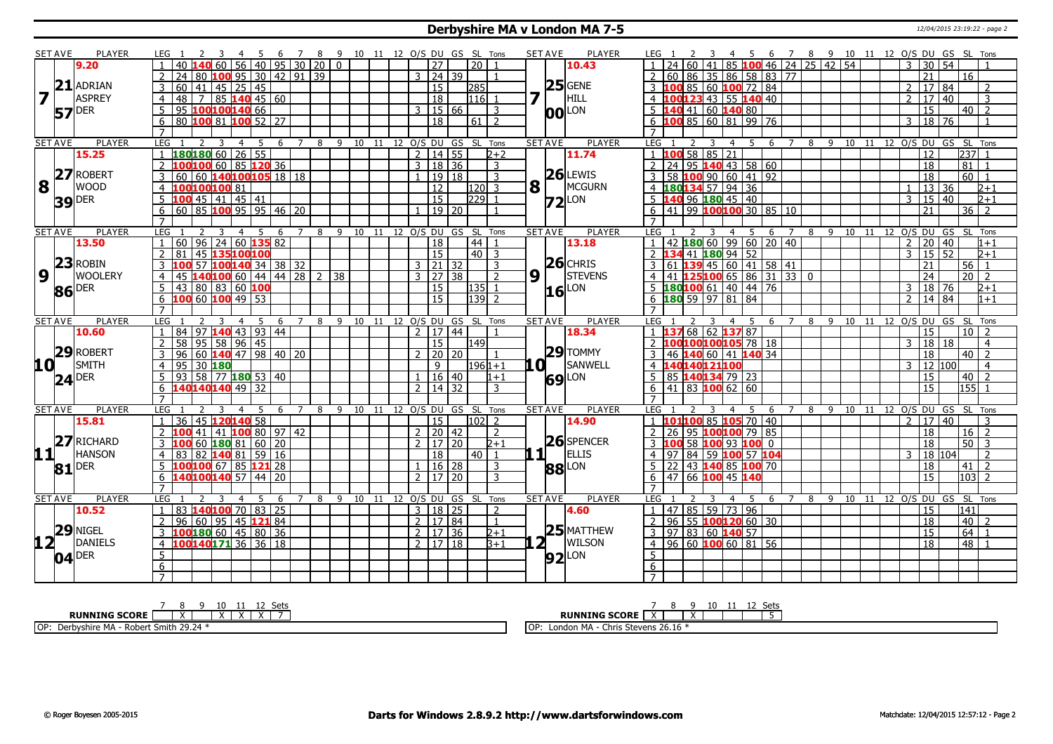#### **Derbyshire MA v London MA 7-5** 12/04/2015 23:19:22 - page 2

|                 | SET AVE        | <b>PLAYER</b>       | LEG 1                                                                              |                  | 8                   | - 9                            | 10 11 12 O/S DU GS SL Tons |                      |                     |                  |                        | <b>SET AVE</b>                        | PLAYER         | - 6<br>$\overline{7}$                                                                            | 8 9 10 11 12 O/S DU GS SL Tons                       |
|-----------------|----------------|---------------------|------------------------------------------------------------------------------------|------------------|---------------------|--------------------------------|----------------------------|----------------------|---------------------|------------------|------------------------|---------------------------------------|----------------|--------------------------------------------------------------------------------------------------|------------------------------------------------------|
|                 |                | 9.20                | 60 56                                                                              | 40 95 30 20      |                     | $\overline{0}$                 |                            | $\overline{27}$      |                     | 20 I             |                        |                                       | 10.43          | 85 100 46 24 25 42 54                                                                            | 3<br>30<br>54                                        |
|                 |                |                     | 80 100 95 30 42 91 39<br>24                                                        |                  |                     |                                |                            | 3   24   39          |                     |                  |                        |                                       |                | 60 86 35 86 58 83 77<br>2                                                                        | 21<br>16                                             |
|                 | 21             | ADRIAN              | $\frac{1}{45}$ 25 45<br>60<br>$\sqrt{41}$<br>3                                     |                  |                     |                                |                            | $\overline{15}$      |                     | 285              |                        |                                       | $25$ GENE      | 3 100 85 60 100 72 84                                                                            | 17<br>84<br>$\mathcal{P}$<br>$\overline{2}$          |
| $\overline{7}$  |                | <b>ASPREY</b>       | 48   7<br>$\overline{4}$                                                           | $ 85 $ 140 45 60 |                     |                                |                            | 18                   |                     | $116$ 1          |                        | 7                                     | HILL           | 4 100123 43 55 140 40                                                                            | <b>17</b><br>40<br>3<br>$\mathcal{L}$                |
|                 |                |                     | 95 100100140 66<br>5                                                               |                  |                     |                                |                            | $3 \mid 15 \mid 66$  |                     |                  | 3                      |                                       |                | $5\vert140\vert41\vert60\vert140\vert80$                                                         | 15<br>40<br>$\overline{z}$                           |
|                 |                | $57$ <sup>DER</sup> | 80 100 81 100 52 27<br>6                                                           |                  |                     |                                |                            | 18                   |                     | $61 \mid 2$      |                        |                                       | <b>00</b> LON  | $6$ 100 85 60 81 99 76                                                                           | $3 \mid 18 \mid 76$<br>$\overline{1}$                |
|                 |                |                     |                                                                                    |                  |                     |                                |                            |                      |                     |                  |                        |                                       |                | $\overline{7}$                                                                                   |                                                      |
|                 | <b>SET AVE</b> | <b>PLAYER</b>       | LEG <sub>1</sub><br><sup>2</sup><br>$\overline{3}$<br>$\overline{4}$               | - 5<br>6         | $\overline{7}$      | 8 9 10 11 12 O/S DU GS SL Tons |                            |                      |                     |                  |                        | <b>SET AVE</b>                        | <b>PLAYER</b>  | LEG 1<br>8 9 10 11 12 0/S DU GS SL Tons<br>$\overline{4}$<br>$-5$<br>- 6<br>$\overline{7}$<br>3  |                                                      |
|                 |                | 15.25               | 180180602655                                                                       |                  |                     |                                |                            | $2 \mid 14 \mid 55$  |                     |                  | $2+2$                  |                                       | 11.74          | $1$ 100 58 85 21                                                                                 | $237 \mid 1$<br>12                                   |
|                 |                |                     | 100100 60 85 120 36<br>$\overline{2}$                                              |                  |                     |                                |                            | 3   18   36          |                     |                  | $\overline{3}$         |                                       |                | $2$ 24 95 140 43 58 60                                                                           | $\overline{81}$<br>18<br>$\overline{1}$              |
|                 |                | 27 ROBERT           | 60 60 140100105 18 18<br>3                                                         |                  |                     |                                |                            |                      | 19 18               |                  | $\overline{3}$         |                                       | $26$ LEWIS     | 58 100 90 60 41 92                                                                               | 60<br>$\overline{18}$                                |
| $ {\bf 8} $     |                | <b>WOOD</b>         |                                                                                    |                  |                     |                                |                            | 12                   |                     | 120 <sub>l</sub> | $\overline{3}$         | $\mathbf{8}$ $\overline{\phantom{1}}$ | MCGURN         |                                                                                                  | 13 36<br>$2 + 1$                                     |
|                 |                |                     | 100100100 81<br>$100$ 45 41 45 41                                                  |                  |                     |                                |                            | $\overline{15}$      |                     | $229$ 1          |                        |                                       |                | 4 180134 57 94 36<br>5 140 96 180 45 40                                                          | $\sqrt{2+1}$<br>$\mathbf{3}$<br>  15   40            |
|                 |                | <b>39 DER</b>       |                                                                                    |                  |                     |                                |                            |                      | $19 \overline{)20}$ |                  |                        |                                       | $Z2$ LON       |                                                                                                  | $\overline{2}$                                       |
|                 |                |                     | $60$ 85 100 95 95 46 20<br>6<br>$\overline{7}$                                     |                  |                     |                                |                            |                      |                     |                  |                        |                                       |                | 141 99 100 100 30 85 10<br>6<br>$\overline{7}$                                                   | 21<br>36                                             |
|                 |                |                     |                                                                                    |                  |                     |                                |                            |                      |                     |                  |                        |                                       |                |                                                                                                  |                                                      |
|                 | <b>SET AVE</b> | <b>PLAYER</b>       | LEG <sub>1</sub><br>$\overline{4}$<br>60   96   24   60   135   82<br>$\mathbf{1}$ | 5<br>6           | $\overline{7}$<br>8 | 9                              | 10<br>11                   | 12 O/S DU GS SL      |                     |                  | Tons<br>$\overline{1}$ | <b>SET AVE</b>                        | <b>PLAYER</b>  | LEG<br>8<br>9 10<br>4<br>-5<br>6<br>7<br>11<br>  42   180 60   99   60   20   40<br>$\mathbf{1}$ | 12 O/S DU GS SL Tons<br>$\overline{20}$              |
|                 |                | 13.50               |                                                                                    |                  |                     |                                |                            | 18                   |                     | 44               |                        |                                       | 13.18          |                                                                                                  | $ 40\rangle$<br>2 I<br>$1+1$<br>$\mathcal{F}$        |
|                 |                | $23$ ROBIN          | 81<br>45 135100100<br>2                                                            |                  |                     |                                |                            | 15                   |                     | $40 \mid 3$      |                        |                                       | $26$ CHRIS     | L34 41 180 94 52<br>$2\sqrt{1}$                                                                  | 15<br>52<br>$2+1$                                    |
|                 |                |                     | 100 57 100 140 34 38 32<br>3                                                       |                  |                     |                                |                            | $3 \mid 21 \mid 32$  |                     |                  | $\overline{3}$         |                                       |                | $3 61 $ 139 45 60 41 58 41                                                                       | 56<br>21<br>$\overline{1}$                           |
| 9               |                | <b>WOOLERY</b>      | 45 140100 60 44 44 28 2<br>$\overline{4}$                                          |                  |                     | 38                             |                            | $3 \mid 27 \mid 38$  |                     |                  | $\overline{2}$         | $9\sqrt{1}$                           | <b>STEVENS</b> | 41 125100 65 86 31 33 0<br>4                                                                     | $\overline{24}$<br>$\overline{20}$<br>$\overline{2}$ |
|                 |                | 86 DER              | 43   80   83   60 <mark>100</mark><br>.5                                           |                  |                     |                                |                            | 15                   |                     | 135 <sup>1</sup> |                        |                                       | LON<br> 16     | $5 \overline{180}1006114014476$                                                                  | $18 \mid 76$<br>$2 + 1$<br>3                         |
|                 |                |                     | 100 60 100 49 53                                                                   |                  |                     |                                |                            | 15                   |                     | $139$ 2          |                        |                                       |                | $6$ 180 59 97 81 84                                                                              | 14 84<br>$\overline{2}$<br>$1 + 1$                   |
|                 |                |                     |                                                                                    |                  |                     |                                |                            |                      |                     |                  |                        |                                       |                |                                                                                                  |                                                      |
|                 | <b>SET AVE</b> | <b>PLAYER</b>       | LEG <sub>1</sub><br>$\overline{4}$                                                 | 5<br>6           | $\overline{7}$<br>8 | 9                              | 10 11 12 0/S DU GS SL Tons |                      |                     |                  |                        | <b>SET AVE</b>                        | <b>PLAYER</b>  | <b>LEG</b><br>$\overline{7}$<br>8<br>9 10 11 12 O/S DU<br>6                                      | GS SL<br>Tons<br>$\overline{2}$                      |
|                 |                | 10.60               | 84 97 140 43 93 44                                                                 |                  |                     |                                |                            | 2   17   44          |                     |                  |                        |                                       | 18.34          | 68 62 137 87                                                                                     | 10 <sup>1</sup><br>15                                |
|                 |                | 29 ROBERT           | 58 95 58 96 45                                                                     |                  |                     |                                |                            | 15                   |                     | 149              |                        |                                       | $29$ TOMMY     | 100 <mark>100</mark> 105 78 18                                                                   | 18<br>$\overline{4}$<br>18                           |
|                 |                |                     | 96 60 140 47 98 40 20<br>3                                                         |                  |                     |                                |                            |                      | 20 20               |                  |                        |                                       |                | 60 41 140 34<br>46                                                                               | 40 <sup>1</sup><br>$\overline{z}$<br>18              |
| 10 <sup>1</sup> |                | SMITH               | $95 30 $ 180<br>$\overline{4}$                                                     |                  |                     |                                |                            | $\mathbf{q}$         |                     | $1961 + 1$       |                        | .a +                                  | SANWELL        | $4 \vert 1$<br>40140121100                                                                       | 12 100<br>$\overline{4}$<br>3                        |
|                 |                | $24$ <sup>DER</sup> | 93 58 77 180 53 40<br>5.                                                           |                  |                     |                                |                            | 1   16   40          |                     |                  | 1+1                    |                                       | <b>69</b> LON  | 85 140134 79 23<br>$5^{\circ}$                                                                   | 15<br>40<br>$\overline{2}$                           |
|                 |                |                     | 140140140 49 32<br>6                                                               |                  |                     |                                |                            | 2   14   32          |                     |                  | 3                      |                                       |                | $6 \mid 41 \mid 83 \mid 100 \mid 62 \mid 60$                                                     | $155$ 1<br>$\overline{15}$                           |
|                 |                |                     | $\overline{7}$                                                                     |                  |                     |                                |                            |                      |                     |                  |                        |                                       |                | $\overline{7}$                                                                                   |                                                      |
|                 | <b>SET AVE</b> | PLAYER              | LEG <sub>1</sub><br>-3<br>$\overline{4}$                                           | -5<br>6          | $7^{\circ}$<br>8    |                                | 9 10 11 12 O/S DU          |                      | GS                  | SL Tons          |                        | <b>SET AVE</b>                        | <b>PLAYER</b>  | <b>LEG</b><br>8 9 10 11 12 O/S DU GS SL Tons<br>$\overline{7}$<br>4<br>-5<br>6                   |                                                      |
|                 |                | 15.81               | 36 45 120 140 58<br>$\mathbf{1}$                                                   |                  |                     |                                |                            | 15                   |                     | 102 2            |                        |                                       | 14.90          | $1 \vert 101100 \vert 85 \vert 105 \vert 70 \vert 40$                                            | <b>17</b><br>40<br>3<br>2                            |
|                 |                | 27 RICHARD          | 2 100 41 41 100 80 97 42                                                           |                  |                     |                                |                            | 2 20 42              |                     |                  | 2                      |                                       | 26 SPENCER     | 95 100100 79 85<br>$\overline{2}$   26                                                           | 18<br>$16$   2                                       |
|                 |                |                     | 100 60 180 81 60 20<br>3                                                           |                  |                     |                                |                            | $2 \mid 17 \mid 20$  |                     |                  | $2 + 1$                |                                       |                | 58 100 93 100 0<br>3100                                                                          | $\overline{18}$<br>50<br>-3                          |
| 11              |                | <b>HANSON</b>       | 83 82 140 81 59 16<br>$\overline{4}$                                               |                  |                     |                                |                            | 18                   |                     | $40$   1         |                        | 11                                    | ELLIS          | 4 97 84 59 100 57 104                                                                            | 18   104<br>$\overline{2}$<br>3                      |
|                 |                | $81$ <sup>DER</sup> | 100100 67 85 121 28                                                                |                  |                     |                                |                            |                      | $16 \mid 28$        |                  | 3                      |                                       | <b>88</b> LON  | 43 140 85 100 70<br>5<br>22                                                                      | 18<br>$\overline{2}$<br>41                           |
|                 |                |                     | 140100140 57                                                                       | 44 <br>20        |                     |                                |                            | 2   17   20          |                     |                  | 3                      |                                       |                | 47 66 100 45 140<br>6                                                                            | $\overline{15}$<br>103<br>$\overline{2}$             |
|                 |                |                     |                                                                                    |                  |                     |                                |                            |                      |                     |                  |                        |                                       |                |                                                                                                  |                                                      |
|                 | <b>SET AVE</b> | PLAYER              | LEG<br>3<br>$\overline{4}$                                                         | 5<br>6           | 8                   | $\mathsf{q}$                   | 10<br>11                   | 12 O/S DU GS SL Tons |                     |                  |                        | <b>SET AVE</b>                        | <b>PLAYER</b>  | 9<br>LEG<br>8<br>$\overline{4}$<br>-5<br>6<br>$\overline{7}$                                     | 10 11 12 O/S DU GS SL Tons                           |
|                 |                | 10.52               | 83 140 100 70 83 25                                                                |                  |                     |                                |                            | 3   18   25          |                     |                  | 2                      |                                       | 4.60           | 47 85 59 73 96<br>$\overline{1}$                                                                 | 141<br>15                                            |
|                 |                |                     | 60   95   45   <mark>121</mark> 84<br>96<br>2                                      |                  |                     |                                |                            | 2   17   84          |                     |                  | $\overline{1}$         |                                       |                | 96 55 100 120 60 30<br>$\overline{2}$                                                            | 40<br>18<br>$\overline{z}$                           |
|                 |                | $29$ NIGEL          | 3 100180 60 45 80 36                                                               |                  |                     |                                |                            | 2   17   36          |                     |                  | $2+1$                  |                                       | $ 25 $ MATTHEW | $3$ 97 83 60 140 57                                                                              | $\overline{15}$<br>64<br>$\overline{1}$              |
| 12 <sup>1</sup> |                | <b>DANIELS</b>      | 100140171 36 36 18<br>$\overline{4}$                                               |                  |                     |                                |                            | 2   17   18          |                     |                  | $3 + 1$                | $2^{\overline{1}}$                    | WILSON         | $4 \mid 96 \mid 60$ 100 60 81 56                                                                 | $\overline{18}$<br>48<br>$\overline{\phantom{0}}$    |
|                 |                | $04$ <sup>DER</sup> | 5                                                                                  |                  |                     |                                |                            |                      |                     |                  |                        |                                       | $92$ LON       | 5 <sup>5</sup>                                                                                   |                                                      |
|                 |                |                     | 6                                                                                  |                  |                     |                                |                            |                      |                     |                  |                        |                                       |                | $6\overline{6}$                                                                                  |                                                      |
|                 |                |                     | $\overline{7}$                                                                     |                  |                     |                                |                            |                      |                     |                  |                        |                                       |                | $\overline{7}$                                                                                   |                                                      |

| د ب                                                                  | ししい                                                                                    |
|----------------------------------------------------------------------|----------------------------------------------------------------------------------------|
| <b>RUNNING SCORE</b><br>$\lambda$                                    | <b>RUNNING SCORE</b>                                                                   |
| <b>OP</b><br>29.74<br>Smith<br>- ۱۲۱۴ MA - Robert Smith -<br>Derbysh | l OP<br>$\ldots$ 26.16 $^*$<br>MAA<br>่∼ี้⊳<br>Steven <sup>.</sup><br>Londor<br>UTIES. |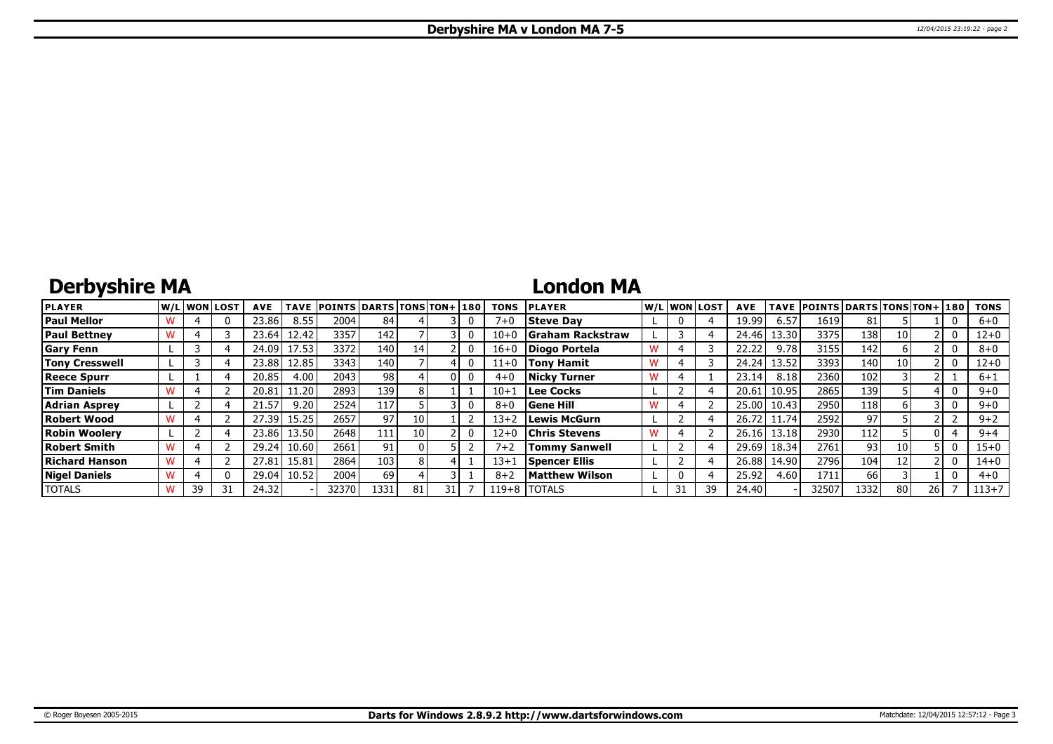## **Derbyshire MA**

### **London MA**

| <b>PLAYER</b>         |    | lw/Llwonllost | <b>AVE</b> | TAVE              | <b>POINTS DARTS TONS TON+180</b> |       |      |  | TONS      | <b>PLAYER</b>         |   | W/Liwonilost! | <b>AVE</b> |       | TAVE POINTS DARTS TONS TON+ 180 |      |    |      | <b>TONS</b> |
|-----------------------|----|---------------|------------|-------------------|----------------------------------|-------|------|--|-----------|-----------------------|---|---------------|------------|-------|---------------------------------|------|----|------|-------------|
| <b>Paul Mellor</b>    |    | 0             | 23.86      | 8.55              | 2004                             | 84    |      |  | $7 + 0$   | <b>Steve Dav</b>      |   |               | 19.99      | 6.57  | 1619                            | 81   |    |      | $6 + 0$     |
| <b>Paul Bettney</b>   |    |               | 23.64      | 12.42             | 3357                             | 142   |      |  | $10+$     | Graham Rackstraw      |   |               | 24.46      | 13.30 | 3375                            | 138  | 10 |      | $12 + 0$    |
| <b>Gary Fenn</b>      |    |               | 24.09      | 17.53             | 3372                             | 140   |      |  | $16 + 0$  | Diogo Portela         |   |               | 22.22      | 9.78  | 3155                            | 142  |    |      | $8 + 0$     |
| <b>Tony Cresswell</b> |    |               | 23.88      | 12.85             | 3343                             | 140 l |      |  | $11+0$    | <b>Tony Hamit</b>     |   |               | 24.24      | 13.52 | 3393                            | 140  | 10 |      | $12 + 0$    |
| <b>Reece Spurr</b>    |    |               | 20.85      | 4.00              | 2043                             | 981   |      |  | $4 + ($   | <b>Nicky Turner</b>   | w |               | 23.14      | 8.18  | 2360                            | 102  |    |      | 6+1         |
| <b>Tim Daniels</b>    |    |               | 20.81      | 1.20              | 2893                             | 139   |      |  | $10 + 1$  | <b>Lee Cocks</b>      |   |               | 20.61      | 10.95 | 2865                            | 139  |    |      | $9 + 0$     |
| <b>Adrian Asprey</b>  |    |               | 21.57      | 9.20 <sub>1</sub> | 2524                             | 117   |      |  | $8 + 0$   | <b>Gene Hill</b>      |   |               | 25.00      | 10.43 | 2950                            | 118  |    |      | $9 + 0$     |
| <b>Robert Wood</b>    |    |               | 27.39      | 15.25             | 2657                             | 971   | 10   |  | $13 + 2$  | <b>Lewis McGurn</b>   |   |               | 26.72      | 11.74 | 2592                            | 97   |    |      | $9 + 2$     |
| <b>Robin Woolerv</b>  |    |               | 23.86      | 13.50             | 2648                             | 111   | 10 I |  | $12 + 0$  | Chris Stevens         | W |               | 26.16      | 13.18 | 2930                            | 112  |    |      | $9 + 4$     |
| Robert Smith          |    |               | 29.24      | 10.60             | 2661                             | 91    |      |  | $7 + 2$   | <b>Tommy Sanwell</b>  |   |               | 29.69      | 18.34 | 2761                            | 93   | 10 |      | $15 + 0$    |
| Richard Hanson        |    |               | 27.81      | 15.81             | 2864                             | 103   |      |  | $13+$     | Spencer Ellis         |   |               | 26.88      | 14.90 | 2796                            | 104  | 12 |      | $14 + 0$    |
| <b>Nigel Daniels</b>  |    | 0             | 29.04      | 10.52             | 2004                             | 69    |      |  | $8 + 2$   | <b>Matthew Wilson</b> |   |               | 25.92      | 4.60  | 1711                            | 66   |    |      | $4 + 0$     |
| <b>TOTALS</b>         | 39 | 31            | 24.32      |                   | 32370                            | 1331  |      |  | $119 + 8$ | <b>TOTALS</b>         |   | 39            | 24.40      |       | 32507                           | 1332 | 80 | 26 I | $113 + 7$   |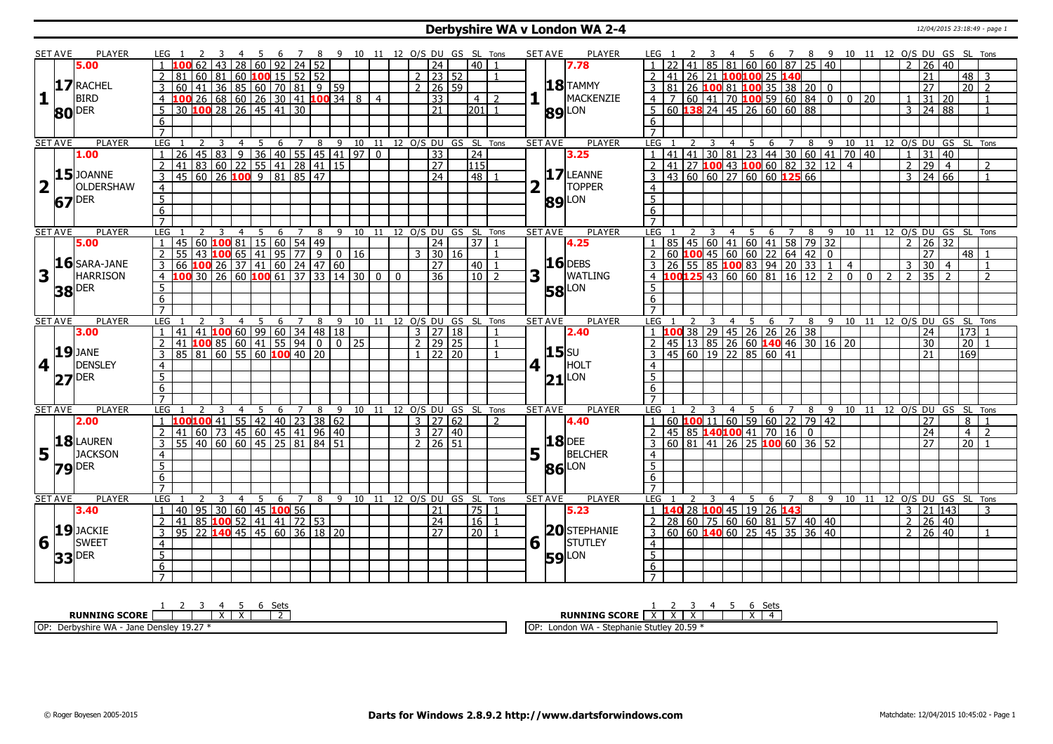#### **Derbyshire WA v London WA 2-4** 12/04/2015 23:18:49 - page 1

|                         | <b>SET AVE</b> | <b>PLAYER</b>       | LEG 1                |    |                                                                        |                |                |             |                                |       |                           |  |          |                     |                                 | 9 10 11 12 O/S DU GS SL Tons   |                |             | <b>SET AVE</b> | <b>PLAYER</b>       | LEG                              |   |                |                |                |   |                                                                              |  | 6 7 8 9 10 11 12 O/S DU GS SL Tons                                |                |                |                |                 |                       |                |                 |                |
|-------------------------|----------------|---------------------|----------------------|----|------------------------------------------------------------------------|----------------|----------------|-------------|--------------------------------|-------|---------------------------|--|----------|---------------------|---------------------------------|--------------------------------|----------------|-------------|----------------|---------------------|----------------------------------|---|----------------|----------------|----------------|---|------------------------------------------------------------------------------|--|-------------------------------------------------------------------|----------------|----------------|----------------|-----------------|-----------------------|----------------|-----------------|----------------|
|                         |                | 5.00                |                      |    |                                                                        |                | 28   60   92   |             |                                | 24 52 |                           |  |          |                     | $\overline{24}$                 | 40                             |                |             |                | 7.78                |                                  |   |                |                |                |   | $85   81   60   60   87   25   40$                                           |  |                                                                   |                |                | $\overline{2}$ |                 | 26 40                 |                |                 |                |
|                         |                |                     | $\overline{2}$<br>81 | 60 | <b>81</b>                                                              |                |                |             | $ 60 $ <b>100</b> 15   52   52 |       |                           |  |          |                     | $2$   23   52                   |                                | $\overline{1}$ |             |                |                     | <sup>2</sup>                     |   |                |                |                |   | 41 26 21 100100 25 140                                                       |  |                                                                   |                |                |                | 21              |                       |                | $48 \mid 3$     |                |
|                         |                | 17 RACHEL           | 3                    |    |                                                                        |                |                |             |                                |       |                           |  |          |                     | $2 \mid 26 \mid 59$             |                                |                |             |                | $18$ TAMMY          |                                  |   |                |                |                |   |                                                                              |  |                                                                   |                |                |                | $\overline{27}$ |                       |                | $\overline{20}$ | $\overline{z}$ |
| 1                       |                | <b>BIRD</b>         | $\overline{4}$       |    | 60 41 36 85 60 70 81 9 59<br>100 26 68 60 26 30 41 100 34 8 4          |                |                |             |                                |       |                           |  |          |                     | $\overline{33}$                 | $4\sqrt{2}$                    |                |             |                | MACKENZIE           |                                  |   |                |                |                |   |                                                                              |  | 3 81 26 100 81 100 35 38 20 0<br>4 7 60 41 70 100 59 60 84 0 0 20 |                |                | $\overline{1}$ |                 | 31 20                 |                |                 |                |
|                         |                |                     | 5                    |    | 30 100 28 26 45 41                                                     |                |                |             | 30                             |       |                           |  |          |                     | $\overline{21}$                 | 201                            | $\overline{1}$ |             |                |                     |                                  |   |                |                |                |   | $5 60 $ 138 24 45 26 60 60 88                                                |  |                                                                   |                |                | 3              |                 | 24 88                 |                |                 | $\mathbf{1}$   |
|                         |                | <b>80</b> DER       | $\overline{6}$       |    |                                                                        |                |                |             |                                |       |                           |  |          |                     |                                 |                                |                |             |                | <b>89 LON</b>       | 6                                |   |                |                |                |   |                                                                              |  |                                                                   |                |                |                |                 |                       |                |                 |                |
|                         |                |                     | $\overline{7}$       |    |                                                                        |                |                |             |                                |       |                           |  |          |                     |                                 |                                |                |             |                |                     | $\overline{7}$                   |   |                |                |                |   |                                                                              |  |                                                                   |                |                |                |                 |                       |                |                 |                |
|                         | <b>SET AVE</b> | <b>PLAYER</b>       | <b>LEG</b>           |    |                                                                        |                |                |             |                                |       |                           |  |          |                     |                                 | 8 9 10 11 12 0/S DU GS SL Tons |                |             | <b>SET AVE</b> | <b>PLAYER</b>       | LEG                              | 2 | 3              | $\overline{4}$ | $\overline{5}$ |   |                                                                              |  | 6 7 8 9 10 11 12 0/S DU GS SL Tons                                |                |                |                |                 |                       |                |                 |                |
|                         |                | 1.00                | $\overline{26}$<br>1 |    | 2 3 4 5 6 7 8 9 10 11<br>45 83 9 36 40 55 45 41 97 0                   |                |                |             |                                |       |                           |  |          |                     | $\overline{33}$                 | $\overline{24}$                |                |             |                | 3.25                |                                  |   |                |                |                |   |                                                                              |  | $\frac{1}{1}$ 41 41 30 81 23 44 30 60 41 70 40                    |                |                |                |                 | $1 \vert 31 \vert 40$ |                |                 |                |
|                         |                |                     | $\overline{2}$<br>41 |    | 83 60 22 55 41 28 41 15                                                |                |                |             |                                |       |                           |  |          |                     | $\overline{27}$                 | $\overline{115}$               |                |             |                |                     |                                  |   |                |                |                |   |                                                                              |  | $2$ 41 27 100 43 100 60 82 32 12 4                                |                |                | $\overline{2}$ | $\overline{29}$ | $\vert$ 4             |                |                 | $\overline{2}$ |
|                         |                | $15$ JOANNE         | $\overline{3}$       |    | $\frac{1}{45}$ 60 26 100 9 81 85 47                                    |                |                |             |                                |       |                           |  |          |                     | $\overline{24}$                 | 148 I                          |                |             |                | 17 LEANNE           |                                  |   |                |                |                |   | $3   43   60   60   27   60   60   125   66$                                 |  |                                                                   |                |                | $\mathcal{E}$  |                 | $\sqrt{24}$ 66        |                |                 | $\mathbf{1}$   |
| $\overline{\mathbf{2}}$ |                | OLDERSHAW           |                      |    |                                                                        |                |                |             |                                |       |                           |  |          |                     |                                 |                                |                | 2           |                | <b>TOPPER</b>       |                                  |   |                |                |                |   |                                                                              |  |                                                                   |                |                |                |                 |                       |                |                 |                |
|                         |                |                     | $\overline{4}$       |    |                                                                        |                |                |             |                                |       |                           |  |          |                     |                                 |                                |                |             |                |                     | $\overline{4}$<br>$\overline{5}$ |   |                |                |                |   |                                                                              |  |                                                                   |                |                |                |                 |                       |                |                 |                |
|                         |                | $67$ <sup>DER</sup> | $\overline{5}$       |    |                                                                        |                |                |             |                                |       |                           |  |          |                     |                                 |                                |                |             |                | <b>89</b> LON       |                                  |   |                |                |                |   |                                                                              |  |                                                                   |                |                |                |                 |                       |                |                 |                |
|                         |                |                     | 6<br>$\overline{7}$  |    |                                                                        |                |                |             |                                |       |                           |  |          |                     |                                 |                                |                |             |                |                     | 6                                |   |                |                |                |   |                                                                              |  |                                                                   |                |                |                |                 |                       |                |                 |                |
|                         |                |                     |                      |    |                                                                        |                |                |             |                                |       |                           |  |          |                     |                                 |                                |                |             |                |                     |                                  |   |                |                |                |   |                                                                              |  |                                                                   |                |                |                |                 |                       |                |                 |                |
|                         | <b>SET AVE</b> | <b>PLAYER</b>       | LEG                  |    | 3                                                                      | $\overline{4}$ | $\overline{5}$ | $6^{\circ}$ | $\overline{7}$                 | 8     |                           |  |          |                     |                                 | 9 10 11 12 O/S DU GS SL Tons   |                |             | <b>SET AVE</b> | <b>PLAYER</b>       | LEG                              |   | $\overline{3}$ |                |                |   |                                                                              |  | 4 5 6 7 8 9 10 11 12 O/S DU GS SL Tons                            |                |                |                |                 |                       |                |                 |                |
|                         |                | 5.00                | 45                   |    | 60   100   81   15   60   54   49                                      |                |                |             |                                |       |                           |  |          |                     | $\overline{24}$                 | 37                             |                |             |                | 4.25                | $\overline{1}$                   |   |                |                |                |   | 85 45 60 41 60 41 58 79 32                                                   |  |                                                                   |                |                | $\overline{z}$ |                 | 26 32                 |                |                 |                |
|                         |                | $16$ SARA-JANE      | 55<br>2              | 43 | 100 65 41 95 77                                                        |                |                |             |                                |       | 9   0   16                |  |          | 3 I                 | 30 16                           |                                | - 1            |             |                | $16$ DEBS           | 2                                |   |                |                |                |   | 60 100 45 60 60 22 64 42 0                                                   |  |                                                                   |                |                |                | $\overline{27}$ |                       |                | 48   1          |                |
|                         |                |                     | 3                    |    | 06 100 26 37 41 60 24 47 60<br>100 30 26 60 100 61 37 33 14            |                |                |             |                                |       |                           |  |          |                     | 27                              | 40                             | $\overline{1}$ |             |                |                     |                                  |   |                |                |                |   |                                                                              |  |                                                                   |                |                | $\mathbf{3}$   |                 | $30 \mid 4$           |                |                 | $\mathbf{1}$   |
| 3                       |                | <b>HARRISON</b>     | $\overline{4}$       |    |                                                                        |                |                |             |                                |       | $\frac{1}{37}$ 33 14 30 0 |  | $\Omega$ |                     | $\overline{36}$                 | $10$   2                       |                | 3           |                | <b>WATLING</b>      |                                  |   |                |                |                |   |                                                                              |  | $\overline{0}$                                                    | $\overline{0}$ | $\overline{2}$ | $\overline{2}$ |                 | 35                    | $\overline{2}$ |                 | $\overline{2}$ |
|                         |                | <b>38</b> DER       | 5                    |    |                                                                        |                |                |             |                                |       |                           |  |          |                     |                                 |                                |                |             |                | <b>58</b> LON       | 5 <sup>1</sup>                   |   |                |                |                |   |                                                                              |  |                                                                   |                |                |                |                 |                       |                |                 |                |
|                         |                |                     | 6                    |    |                                                                        |                |                |             |                                |       |                           |  |          |                     |                                 |                                |                |             |                |                     | 6                                |   |                |                |                |   |                                                                              |  |                                                                   |                |                |                |                 |                       |                |                 |                |
|                         |                |                     | $\overline{7}$       |    |                                                                        |                |                |             |                                |       |                           |  |          |                     |                                 |                                |                |             |                |                     | $\overline{7}$                   |   |                |                |                |   |                                                                              |  |                                                                   |                |                |                |                 |                       |                |                 |                |
|                         | <b>SET AVE</b> | PLAYER              | LEG                  |    | 3                                                                      | $\overline{4}$ | 5              | 6           | $\overline{7}$                 | 8     |                           |  |          |                     |                                 | 9 10 11 12 0/S DU GS SL Tons   |                |             | <b>SET AVE</b> | <b>PLAYER</b>       | LEG                              |   | $\overline{3}$ |                |                |   | $1 \vert 100 \vert 38 \vert 29 \vert 45 \vert 26 \vert 26 \vert 26 \vert 38$ |  | 4 5 6 7 8 9 10 11 12 O/S DU GS SL Tons                            |                |                |                | 24              |                       |                | 173             |                |
|                         |                |                     |                      |    |                                                                        |                |                |             |                                |       |                           |  |          |                     |                                 |                                |                |             |                |                     |                                  |   |                |                |                |   |                                                                              |  |                                                                   |                |                |                |                 |                       |                |                 |                |
|                         |                | 3.00                | 41<br>1              |    |                                                                        |                |                |             |                                |       |                           |  |          | $3 \mid 27 \mid 18$ |                                 |                                | -1             |             |                | 2.40                |                                  |   |                |                |                |   |                                                                              |  |                                                                   |                |                |                |                 |                       |                |                 |                |
|                         |                |                     | $\overline{2}$<br>41 |    | 41 <mark>100</mark> 60 99 60 34 48 18<br><b>100</b> 85 60 41 55 94 0 0 |                |                |             |                                |       |                           |  |          | 2 <sub>1</sub>      | $79 \mid 25$                    |                                | $\mathbf{1}$   |             |                |                     |                                  |   |                |                |                |   |                                                                              |  | 2 45 13 85 26 60 140 46 30 16 20                                  |                |                |                | 30              |                       |                | 20              |                |
|                         |                | $19$ JANE           | 3                    |    | 85 81 60 55 60 100 40 20                                               |                |                |             |                                |       |                           |  |          |                     | $1 \overline{22} \overline{20}$ |                                |                |             | <b>15</b> SU   |                     |                                  |   |                |                |                |   | $\overline{3}$ 45 60 19 22 85 60 41                                          |  |                                                                   |                |                |                | 21              |                       |                | 169             |                |
| 4                       |                | <b>DENSLEY</b>      | $\overline{4}$       |    |                                                                        |                |                |             |                                |       |                           |  |          |                     |                                 |                                |                | 4           |                | HOLT                | $\overline{4}$                   |   |                |                |                |   |                                                                              |  |                                                                   |                |                |                |                 |                       |                |                 |                |
|                         | 27             | <b>DER</b>          | 5 <sup>2</sup>       |    |                                                                        |                |                |             |                                |       |                           |  |          |                     |                                 |                                |                |             |                |                     | $\overline{5}$                   |   |                |                |                |   |                                                                              |  |                                                                   |                |                |                |                 |                       |                |                 |                |
|                         |                |                     | 6                    |    |                                                                        |                |                |             |                                |       |                           |  |          |                     |                                 |                                |                |             |                | $21$ <sup>LON</sup> | 6                                |   |                |                |                |   |                                                                              |  |                                                                   |                |                |                |                 |                       |                |                 |                |
|                         |                |                     | $\overline{7}$       |    |                                                                        |                |                |             |                                |       |                           |  |          |                     |                                 |                                |                |             |                |                     |                                  |   |                |                |                |   |                                                                              |  |                                                                   |                |                |                |                 |                       |                |                 |                |
|                         | <b>SET AVE</b> | <b>PLAYER</b>       | LEG                  |    |                                                                        | $\overline{4}$ | 5              |             | 6 7                            |       |                           |  |          |                     |                                 | 8 9 10 11 12 0/S DU GS SL Tons |                |             | <b>SET AVE</b> | <b>PLAYER</b>       | LEG                              |   |                |                | 4 5            |   |                                                                              |  | 6 7 8 9 10 11 12 O/S DU GS SL Tons                                |                |                |                |                 |                       |                |                 |                |
|                         |                | 2.00                |                      |    | 100 <mark>100</mark> 41   55   42   40   23   38   62                  |                |                |             |                                |       |                           |  |          |                     | 3 27 62                         |                                | 2              |             |                | 4.40                |                                  |   |                |                |                |   | $1   60   100   11   60   59   60   22   79   42$                            |  |                                                                   |                |                |                | 27              |                       |                | 8               |                |
|                         |                |                     | $\overline{2}$<br>41 |    | 60 73 45 60 45 41 96 40                                                |                |                |             |                                |       |                           |  |          |                     | 3 27 40                         |                                |                |             |                |                     | 2                                |   |                |                |                |   | $ 45 85$ 140100 41 70 16 0                                                   |  |                                                                   |                |                |                | $\overline{24}$ |                       |                | $\overline{4}$  | $\overline{2}$ |
|                         |                | 18 LAUREN           | 3                    |    | 55 40 60 60 45 25 81 84 51                                             |                |                |             |                                |       |                           |  |          |                     | 2   26   51                     |                                |                |             |                | <b>18</b> DEE       |                                  |   |                |                |                |   | $3   60   81   41   26   25   100   60   36   52$                            |  |                                                                   |                |                |                | 27              |                       |                | 20              |                |
| 5                       |                | <b>JACKSON</b>      | $\overline{4}$       |    |                                                                        |                |                |             |                                |       |                           |  |          |                     |                                 |                                |                | 5           |                | <b>BELCHER</b>      | $\overline{4}$                   |   |                |                |                |   |                                                                              |  |                                                                   |                |                |                |                 |                       |                |                 |                |
|                         |                |                     | 5                    |    |                                                                        |                |                |             |                                |       |                           |  |          |                     |                                 |                                |                |             |                | LON                 | 5 <sup>1</sup>                   |   |                |                |                |   |                                                                              |  |                                                                   |                |                |                |                 |                       |                |                 |                |
|                         |                | $79$ <sup>DER</sup> | $6\overline{6}$      |    |                                                                        |                |                |             |                                |       |                           |  |          |                     |                                 |                                |                |             | 86             |                     | 6                                |   |                |                |                |   |                                                                              |  |                                                                   |                |                |                |                 |                       |                |                 |                |
|                         |                |                     | $\overline{7}$       |    |                                                                        |                |                |             |                                |       |                           |  |          |                     |                                 |                                |                |             |                |                     | $\overline{7}$                   |   |                |                |                |   |                                                                              |  |                                                                   |                |                |                |                 |                       |                |                 |                |
|                         | SET AVE        | PLAYER              | LEG                  |    | 3                                                                      | -4             | - 5            | 6           | 7                              |       |                           |  |          |                     |                                 | 8 9 10 11 12 O/S DU GS SL Tons |                |             | <b>SET AVE</b> | <b>PLAYER</b>       | LEG                              |   | 3              |                | 4 <sub>5</sub> | 6 | $\overline{z}$                                                               |  | 8 9 10 11 12 O/S DU GS SL Tons                                    |                |                |                |                 |                       |                |                 |                |
|                         |                | 3.40                | 40<br>$\mathbf{1}$   |    | $95 \mid 30 \mid 60 \mid 45$ 100 56                                    |                |                |             |                                |       |                           |  |          |                     | 21                              | 75 1                           |                |             |                | 5.23                |                                  |   |                |                |                |   | 1 140 28 100 45 19 26 143                                                    |  |                                                                   |                |                | $\overline{3}$ |                 | 21 143                |                |                 | 3              |
|                         |                |                     | 2<br>41              |    | 85 100 52                                                              |                |                |             | 41 41 72 53                    |       |                           |  |          |                     | $\overline{24}$                 | l 16 l                         | $\overline{1}$ |             |                |                     |                                  |   |                |                |                |   | $2 \mid 28 \mid 60 \mid 75 \mid 60 \mid 60 \mid 81 \mid 57 \mid 40 \mid 40$  |  |                                                                   |                |                | 2              | 26              |                       | $ 40\rangle$   |                 |                |
|                         |                | 19JACKIE            | 95<br>3              |    | 22   140   45   45   60   36   18   20                                 |                |                |             |                                |       |                           |  |          |                     | $\overline{27}$                 | $\overline{20}$                |                |             |                | <b>20</b> STEPHANIE |                                  |   |                |                |                |   | $3   60   60   140   60   25   45   35   36   40$                            |  |                                                                   |                |                | $\overline{2}$ |                 | $26 \mid 40$          |                |                 | $\mathbf{1}$   |
| 6                       | r L            | <b>SWEET</b>        | $\overline{4}$       |    |                                                                        |                |                |             |                                |       |                           |  |          |                     |                                 |                                |                | $6\sqrt{ }$ |                | STUTLEY             | $\overline{4}$                   |   |                |                |                |   |                                                                              |  |                                                                   |                |                |                |                 |                       |                |                 |                |
|                         |                | <b>DER</b>          | $\overline{5}$       |    |                                                                        |                |                |             |                                |       |                           |  |          |                     |                                 |                                |                |             |                |                     | $\overline{5}$                   |   |                |                |                |   |                                                                              |  |                                                                   |                |                |                |                 |                       |                |                 |                |
|                         | 33             |                     | $6\overline{}$       |    |                                                                        |                |                |             |                                |       |                           |  |          |                     |                                 |                                |                |             |                | <b>59</b> LON       | 6                                |   |                |                |                |   |                                                                              |  |                                                                   |                |                |                |                 |                       |                |                 |                |
|                         |                |                     | $\overline{7}$       |    |                                                                        |                |                |             |                                |       |                           |  |          |                     |                                 |                                |                |             |                |                     |                                  |   |                |                |                |   |                                                                              |  |                                                                   |                |                |                |                 |                       |                |                 |                |

| - Sets                                                                                            | Sets                                                |
|---------------------------------------------------------------------------------------------------|-----------------------------------------------------|
| <b>G</b> SCORE<br>RUNNING<br>. .<br>$\ddot{\phantom{1}}$<br>$\lambda$                             | <b>RUNNING SCORE</b>                                |
| OP:<br>$\sim$ $\sim$<br>Donald<br>Jane<br>$-$ Delisic.<br>ᅴᄓᅜ<br><b>VVM</b><br><b>LJ.</b> 27<br>◡ | 20.59<br><b>LOF</b><br>.<br>∙ WA<br>Londor<br>۱۴Ι۵۱ |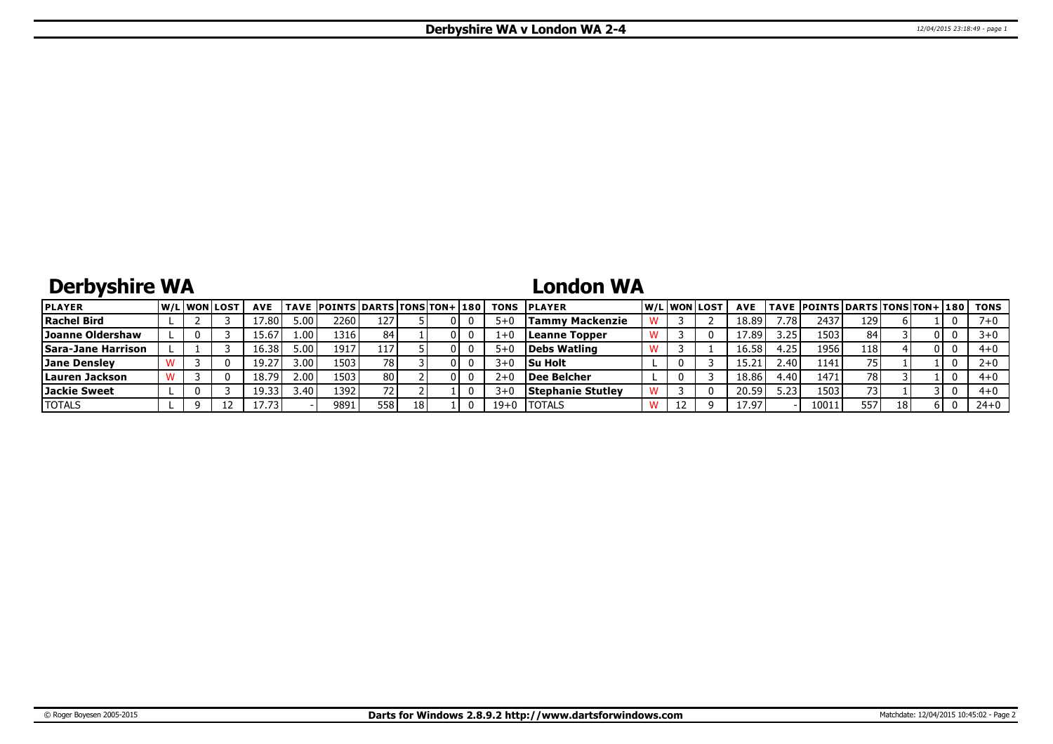# **Derbyshire WA**

## **London WA**

| <b>PLAYER</b>             |  | <b>W/Liwonilost</b> | <b>AVE</b> |                | TAVE POINTS DARTS TONS TON+ 180 |      |    |  | TONS    | <b>IPLAYER</b>         |  | W/Liwonilost | <b>AVE</b> |                   | <b>TAVE POINTS DARTS TONS TON+ 180</b> |     |    |     | TONS     |
|---------------------------|--|---------------------|------------|----------------|---------------------------------|------|----|--|---------|------------------------|--|--------------|------------|-------------------|----------------------------------------|-----|----|-----|----------|
| <b>Rachel Bird</b>        |  |                     | 7.80       | 5.00           | 2260 l                          | 127  |    |  | $5 + 1$ | <b>Tammy Mackenzie</b> |  |              | 18.89      | .78               | 2437                                   | 129 |    |     |          |
| Joanne Oldershaw          |  |                     | 15.67      | 1.00'          | 1316 l                          | 84   |    |  | $1 + 0$ | <b>Leanne Topper</b>   |  |              | 17.89      | 3.25              | 15031                                  | 84  |    | 01  |          |
| <b>Sara-Jane Harrison</b> |  |                     | 16.38      | 5.00           | 1917                            | 117  |    |  |         | Debs Watling           |  |              | 16.58      | . 25              | 1956                                   | 118 |    |     | $4 + 0$  |
| Jane Denslev              |  |                     | 19.27      | 3.00           | 1503                            | 781  |    |  | $3+0$   | Su Holt                |  |              |            | 2.40 <sup>1</sup> | 1141                                   | 75  |    |     |          |
| Lauren Jackson            |  |                     | 18.79      | 2.00           | 1503                            | 80 I |    |  | 2+      | Dee Belcher            |  |              | 18.86      | .40 <sup>1</sup>  | 1471                                   | 78  |    |     | $4 + 0$  |
| Jackie Sweet              |  |                     | 19.33      | $3.40^{\circ}$ | 1392                            |      |    |  |         | Stephanie Stutlev      |  |              | 20.59      | 5.23              | 1503                                   |     |    |     | $4 + 0$  |
| <b>TOTALS</b>             |  |                     | 17.73'     |                | 9891                            | 558  | 18 |  | $19+0$  | <b>I</b> TOTALS        |  |              | 17.97      |                   | 10011                                  | 557 | 18 | 6 I | $24 + 0$ |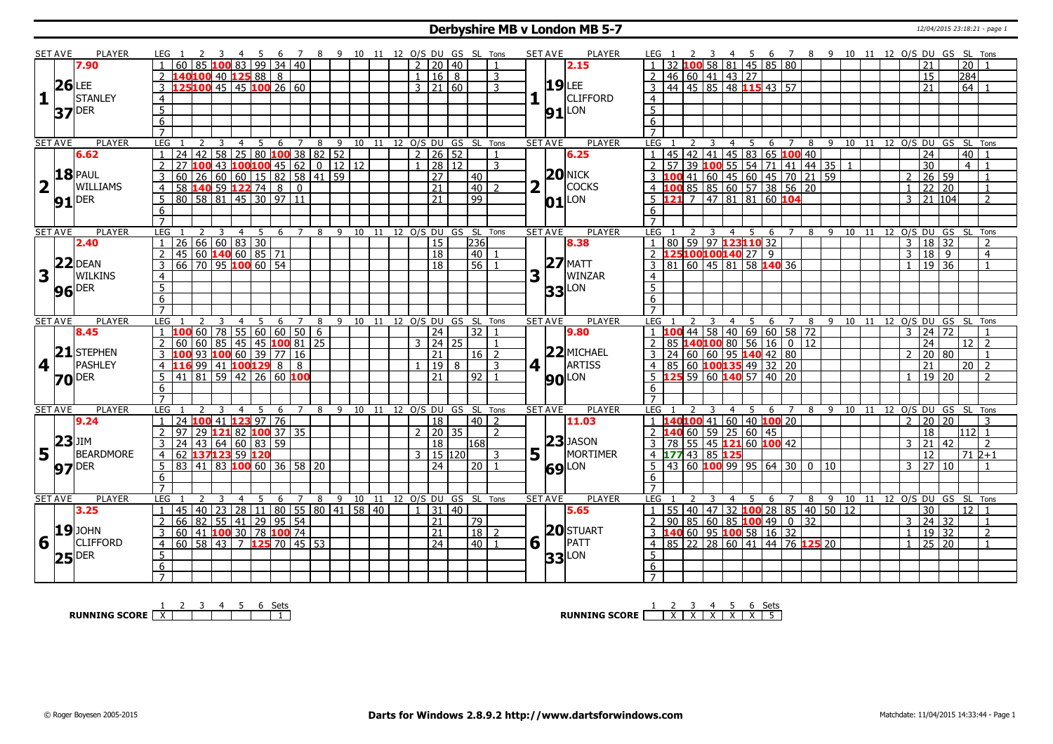#### **Derbyshire MB v London MB 5-7** 12/04/2015 23:18:21 - page 1

|                         | <b>SET AVE</b>          | <b>PLAYER</b>       | LEG 1            |                                              |                               |                                            |                       |     |                |   |   |    |  |                |                     |                     | 3 4 5 6 7 8 9 10 11 12 O/S DU GS SL Tons |                |                         | <b>SET AVE</b>                 | <b>PLAYER</b>               | LEG 1                                                               |                                      |                |                |     |                                             |                            |                 |    | 2 3 4 5 6 7 8 9 10 11 12 O/S DU GS SL Tons |  |                                |                |                      |                 |                                   |                |
|-------------------------|-------------------------|---------------------|------------------|----------------------------------------------|-------------------------------|--------------------------------------------|-----------------------|-----|----------------|---|---|----|--|----------------|---------------------|---------------------|------------------------------------------|----------------|-------------------------|--------------------------------|-----------------------------|---------------------------------------------------------------------|--------------------------------------|----------------|----------------|-----|---------------------------------------------|----------------------------|-----------------|----|--------------------------------------------|--|--------------------------------|----------------|----------------------|-----------------|-----------------------------------|----------------|
|                         |                         | 7.90                |                  | 60                                           | 85 100 83 99 34 40            |                                            |                       |     |                |   |   |    |  |                | $2 \mid 20 \mid 40$ |                     |                                          | $\mathbf{1}$   |                         |                                | 2.15                        |                                                                     | 32 100 58 81 45 85 80                |                |                |     |                                             |                            |                 |    |                                            |  |                                |                | 21                   |                 | $\overline{20}$                   |                |
|                         |                         |                     |                  | 140 <mark>100</mark> 40 <b>125</b> 88 8      |                               |                                            |                       |     |                |   |   |    |  | $\mathbf{1}$   |                     | $16 \mid 8$         |                                          | 3              |                         |                                |                             | $\overline{2}$                                                      | 46 60 41 43 27                       |                |                |     |                                             |                            |                 |    |                                            |  |                                |                | 15                   |                 | 284                               |                |
|                         | $26$ LEE                |                     |                  | L25 100 45 45 100 26 60                      |                               |                                            |                       |     |                |   |   |    |  |                | 3   21   60         |                     |                                          | 3              |                         | $19$ LEE                       |                             |                                                                     | 44 45 85 48 115 43 57                |                |                |     |                                             |                            |                 |    |                                            |  |                                |                | 21                   |                 | 64                                |                |
| $\mathbf{1}$            |                         | <b>STANLEY</b>      |                  |                                              |                               |                                            |                       |     |                |   |   |    |  |                |                     |                     |                                          |                |                         | п.                             | <b>CLIFFORD</b>             |                                                                     |                                      |                |                |     |                                             |                            |                 |    |                                            |  |                                |                |                      |                 |                                   |                |
|                         |                         |                     | $\overline{4}$   |                                              |                               |                                            |                       |     |                |   |   |    |  |                |                     |                     |                                          |                |                         |                                |                             | $\overline{4}$                                                      |                                      |                |                |     |                                             |                            |                 |    |                                            |  |                                |                |                      |                 |                                   |                |
|                         |                         | $37$ <sup>DER</sup> | 5 <sub>5</sub>   |                                              |                               |                                            |                       |     |                |   |   |    |  |                |                     |                     |                                          |                |                         |                                | $91$ $LON$                  | 5 <sup>1</sup>                                                      |                                      |                |                |     |                                             |                            |                 |    |                                            |  |                                |                |                      |                 |                                   |                |
|                         |                         |                     | $\overline{6}$   |                                              |                               |                                            |                       |     |                |   |   |    |  |                |                     |                     |                                          |                |                         |                                |                             | 6                                                                   |                                      |                |                |     |                                             |                            |                 |    |                                            |  |                                |                |                      |                 |                                   |                |
|                         |                         |                     | $\overline{7}$   |                                              |                               |                                            |                       |     |                |   |   |    |  |                |                     |                     |                                          |                |                         |                                |                             | $\overline{7}$                                                      |                                      |                |                |     |                                             |                            |                 |    |                                            |  |                                |                |                      |                 |                                   |                |
|                         | <b>SET AVE</b>          | <b>PLAYER</b>       | LEG              |                                              | 2                             | $\overline{4}$                             | 5                     | 6   | 7              | 8 |   |    |  |                |                     |                     | 9 10 11 12 O/S DU GS SL Tons             |                |                         | <b>SET AVE</b>                 | <b>PLAYER</b>               | LEG                                                                 | 2                                    | $\overline{3}$ | $\overline{4}$ |     | 5 6                                         | $\overline{7}$             | 8               |    |                                            |  | 9 10 11 12 O/S DU GS SL Tons   |                |                      |                 |                                   |                |
|                         |                         | 6.62                | $\overline{1}$   | 24                                           | 42                            | $58$   25   80 <b>100</b> 38   82   52     |                       |     |                |   |   |    |  |                | $2 \mid 26 \mid 52$ |                     |                                          | $\mathbf{1}$   |                         |                                | 6.25                        |                                                                     | 45<br>$\overline{142}$               |                |                |     | $ 41 $ 45 83 65 <b>100</b> 40               |                            |                 |    |                                            |  |                                |                | $\overline{24}$      |                 | 40                                |                |
|                         |                         |                     | $\mathcal{P}$    | 27                                           | $100$ 43 100100 45 62 0 12 12 |                                            |                       |     |                |   |   |    |  | $\mathbf{1}$   |                     | 28 12               |                                          | $\mathbf{3}$   |                         |                                |                             | $2$ 57 39 100 55 54 71 41 44 35 1                                   |                                      |                |                |     |                                             |                            |                 |    |                                            |  |                                |                | $\overline{30}$      |                 | $4 \mid 1$                        |                |
|                         |                         | <b>18 PAUL</b>      | 3                | 60                                           | 26                            | 60 60 15 82 58 41 59                       |                       |     |                |   |   |    |  |                | $\overline{27}$     |                     | 40                                       |                |                         |                                | $20$ NICK                   |                                                                     |                                      |                |                |     |                                             |                            |                 |    |                                            |  | $\overline{2}$                 |                | 26                   | 59              | $\overline{1}$                    |                |
| $\overline{\mathbf{2}}$ | $\mathbf{L}$            | <b>WILLIAMS</b>     |                  | 58 140 59 122 74 8 0                         |                               |                                            |                       |     |                |   |   |    |  |                | $\overline{21}$     |                     | $40$   2                                 |                | $\overline{\mathbf{2}}$ | $\mathbf{L}$                   | <b>COCKS</b>                | <u>3 100 41 60 45 60 45 70 21 59<br/>4 100 85 85 60 57 38 56 20</u> |                                      |                |                |     |                                             |                            |                 |    |                                            |  | $\mathbf{1}$                   |                | 22                   | $\overline{20}$ |                                   | $\overline{1}$ |
|                         |                         | $91$ <sup>DER</sup> | 5                | 80 58 81 45 30 97 11                         |                               |                                            |                       |     |                |   |   |    |  |                | $\overline{21}$     |                     | $\overline{99}$                          |                |                         |                                | $01$ <sup>LON</sup>         |                                                                     | 21.7                                 |                |                |     | 47 81 81 60 104                             |                            |                 |    |                                            |  |                                |                | $3 \mid 21 \mid 104$ |                 |                                   | $\overline{2}$ |
|                         |                         |                     | 6                |                                              |                               |                                            |                       |     |                |   |   |    |  |                |                     |                     |                                          |                |                         |                                |                             | 6                                                                   |                                      |                |                |     |                                             |                            |                 |    |                                            |  |                                |                |                      |                 |                                   |                |
|                         |                         |                     | $\overline{7}$   |                                              |                               |                                            |                       |     |                |   |   |    |  |                |                     |                     |                                          |                |                         |                                |                             |                                                                     |                                      |                |                |     |                                             |                            |                 |    |                                            |  |                                |                |                      |                 |                                   |                |
|                         | <b>SET AVE</b>          | <b>PLAYER</b>       | LEG              |                                              | 3<br>2                        | $\overline{4}$                             | 5                     |     | 6 7            | 8 |   |    |  |                |                     |                     | 9 10 11 12 O/S DU GS SL Tons             |                |                         | <b>SET AVE</b>                 | PLAYER                      | LEG 1                                                               |                                      |                |                |     | 4 5 6 7 8 9 10 11 12 O/S DU GS SL Tons      |                            |                 |    |                                            |  |                                |                |                      |                 |                                   |                |
|                         |                         | 2.40                |                  | 26   66   60   83   30                       |                               |                                            |                       |     |                |   |   |    |  |                | $\overline{15}$     |                     | $\overline{236}$                         |                |                         |                                | 8.38                        |                                                                     | 80 59 97 123110 32                   |                |                |     |                                             |                            |                 |    |                                            |  |                                |                | 3   18   32          |                 |                                   | $\overline{2}$ |
|                         |                         |                     | 2                | $45 \mid 60$ 140 60 85 71                    |                               |                                            |                       |     |                |   |   |    |  |                | $\sqrt{18}$         |                     | 40                                       |                |                         |                                |                             | 2 125100100140 27 9                                                 |                                      |                |                |     |                                             |                            |                 |    |                                            |  | $\overline{3}$                 |                | $\overline{18}$      | $\overline{9}$  |                                   | $\overline{4}$ |
|                         |                         | $22$ DEAN           |                  |                                              |                               |                                            |                       |     |                |   |   |    |  |                |                     |                     |                                          | $\mathbf{1}$   |                         |                                | $27$ MATT                   |                                                                     |                                      |                |                |     |                                             |                            |                 |    |                                            |  |                                |                |                      |                 |                                   |                |
|                         |                         |                     | $\overline{3}$   | 66 70 95 100 60 54                           |                               |                                            |                       |     |                |   |   |    |  |                | 18                  |                     | 56 1                                     |                |                         |                                |                             | $3 \ 81 \ 60 \ 45 \ 81 \ 58 \ 140 \ 36$                             |                                      |                |                |     |                                             |                            |                 |    |                                            |  | $\mathbf{1}$                   |                | 19 36                |                 |                                   | $\overline{1}$ |
| 3                       |                         | <b>WILKINS</b>      | $\overline{4}$   |                                              |                               |                                            |                       |     |                |   |   |    |  |                |                     |                     |                                          |                | 3                       | $\mathbf{L}$                   | WINZAR                      | $\overline{4}$                                                      |                                      |                |                |     |                                             |                            |                 |    |                                            |  |                                |                |                      |                 |                                   |                |
|                         |                         | <b>96</b> DER       | $\overline{5}$   |                                              |                               |                                            |                       |     |                |   |   |    |  |                |                     |                     |                                          |                |                         |                                | <b>33</b> LON               | $\overline{5}$                                                      |                                      |                |                |     |                                             |                            |                 |    |                                            |  |                                |                |                      |                 |                                   |                |
|                         |                         |                     | 6                |                                              |                               |                                            |                       |     |                |   |   |    |  |                |                     |                     |                                          |                |                         |                                |                             | 6                                                                   |                                      |                |                |     |                                             |                            |                 |    |                                            |  |                                |                |                      |                 |                                   |                |
|                         |                         |                     | $\overline{7}$   |                                              |                               |                                            |                       |     |                |   |   |    |  |                |                     |                     |                                          |                |                         |                                |                             |                                                                     |                                      |                |                |     |                                             |                            |                 |    |                                            |  |                                |                |                      |                 |                                   |                |
|                         | <b>SET AVE</b>          | <b>PLAYER</b>       | LEG 1            |                                              |                               |                                            | 5                     | - 6 | $\overline{7}$ | 8 |   |    |  |                |                     |                     | 9 10 11 12 0/S DU GS SL Tons             |                |                         | <b>SET AVE</b>                 | <b>PLAYER</b>               | LEG <sub>1</sub>                                                    |                                      |                |                | 4 5 | 6 7                                         |                            |                 |    |                                            |  | 8 9 10 11 12 0/S DU GS SL Tons |                |                      |                 |                                   |                |
|                         |                         |                     |                  |                                              |                               |                                            |                       |     |                |   |   |    |  |                |                     |                     |                                          |                |                         |                                |                             |                                                                     |                                      |                |                |     |                                             |                            |                 |    |                                            |  |                                |                |                      |                 |                                   |                |
|                         |                         | 8.45                |                  |                                              | 60<br>78                      |                                            | 55   60   60   50   6 |     |                |   |   |    |  |                | 24                  |                     | $\overline{32}$                          |                |                         |                                | 9.80                        |                                                                     |                                      |                |                |     |                                             | $100$ 44 58 40 69 60 58 72 |                 |    |                                            |  |                                | $\overline{3}$ | 24 72                |                 |                                   |                |
|                         |                         |                     | $\overline{2}$   | 60                                           | 60                            | 85 45 45 100 81 25                         |                       |     |                |   |   |    |  | $\mathbf{3}$   | 24 25               |                     |                                          |                |                         |                                |                             |                                                                     | $85$ 140 100 80 56 16 0 12           |                |                |     |                                             |                            |                 |    |                                            |  |                                |                | 24                   |                 | $12$   2                          |                |
|                         |                         | $21$ STEPHEN        | 3                |                                              |                               |                                            |                       |     |                |   |   |    |  |                | 21                  |                     | $16$   2                                 |                |                         |                                |                             |                                                                     |                                      |                |                |     |                                             |                            |                 |    |                                            |  | $\overline{2}$                 |                | 20 80                |                 | $\overline{1}$                    |                |
|                         |                         | PASHLEY             |                  | 4 116 99 41 100 129 8 8                      | 93 $100$ 60 39 77 16          |                                            |                       |     |                |   |   |    |  |                | 19                  | 8                   |                                          | 3              |                         |                                | 22 MICHAEL<br><b>ARTISS</b> | $3 \mid 24 \mid 60 \mid 60 \mid 95$ 140 42 80                       |                                      |                |                |     |                                             |                            |                 |    |                                            |  |                                |                | 21                   |                 | 2012                              |                |
|                         | $\vert 4 \vert$ $\vert$ |                     |                  |                                              |                               |                                            |                       |     |                |   |   |    |  |                | $\overline{21}$     |                     |                                          |                |                         | $4$   $\overline{\phantom{1}}$ |                             | 4 85 60 100135 49 32 20                                             |                                      |                |                |     |                                             |                            |                 |    |                                            |  |                                |                |                      |                 |                                   | $\overline{2}$ |
|                         |                         | $70$ <sup>DER</sup> | 5 <sup>5</sup>   | $\frac{1}{41} \times 1$                      |                               | $\frac{1}{59}$ 42 26 60 100                |                       |     |                |   |   |    |  |                |                     |                     | 92 1                                     |                |                         |                                | <b>90</b> LON               | $\frac{1}{5}$ 125 59 60 140 57 40 20                                |                                      |                |                |     |                                             |                            |                 |    |                                            |  |                                |                | 19 20                |                 |                                   |                |
|                         |                         |                     | 6                |                                              |                               |                                            |                       |     |                |   |   |    |  |                |                     |                     |                                          |                |                         |                                |                             | 6                                                                   |                                      |                |                |     |                                             |                            |                 |    |                                            |  |                                |                |                      |                 |                                   |                |
|                         |                         |                     | $\overline{7}$   |                                              |                               |                                            |                       |     |                |   |   |    |  |                |                     |                     |                                          |                |                         |                                |                             | $\overline{7}$                                                      |                                      |                |                |     |                                             |                            |                 |    |                                            |  |                                |                |                      |                 |                                   |                |
|                         | <b>SET AVE</b>          | PLAYER              | LEG              |                                              |                               | $\overline{4}$                             | -5                    | - 6 | $\overline{7}$ | 8 |   |    |  |                |                     |                     | 9 10 11 12 O/S DU GS SL Tons             |                |                         | <b>SET AVE</b>                 | <b>PLAYER</b>               | LEG                                                                 |                                      |                | $\overline{4}$ | - 5 | 6                                           | $\overline{7}$             |                 |    |                                            |  | 8 9 10 11 12 O/S DU GS SL Tons |                |                      |                 |                                   |                |
|                         |                         | 9.24                |                  | 24                                           | 100 41 123 97 76              |                                            |                       |     |                |   |   |    |  |                | $\overline{18}$     |                     | $\boxed{40}$ 2                           |                |                         |                                | 11.03                       | $1\quad1$                                                           | L40 <mark>100</mark> 41 60 40 100 20 |                |                |     |                                             |                            |                 |    |                                            |  | $\overline{2}$                 |                | 20                   | $\overline{20}$ |                                   | 3              |
|                         |                         |                     | $\overline{2}$   | 97                                           | 29                            | 121 82 100 37 35                           |                       |     |                |   |   |    |  |                |                     | $2 \mid 20 \mid 35$ |                                          | $\overline{2}$ |                         |                                |                             | 2 <b>140</b> 60 59 25 60 45                                         |                                      |                |                |     |                                             |                            |                 |    |                                            |  |                                |                | $\overline{18}$      |                 | $112$ 1                           |                |
|                         | <b>23</b> JIM           |                     | 3                | 24                                           | 43   64   60   83   59        |                                            |                       |     |                |   |   |    |  |                | $\overline{18}$     |                     | 168                                      |                |                         |                                | $23$ JASON                  | $3   78   55   45   121   60   100   42$                            |                                      |                |                |     |                                             |                            |                 |    |                                            |  | 3                              |                | 21 <sup>1</sup>      | 42              |                                   | $\overline{2}$ |
|                         | $5\vert$                | BEARDMORE           | $\overline{4}$   | 62 137123 59 120                             |                               |                                            |                       |     |                |   |   |    |  | $\overline{3}$ |                     | 15 120              |                                          | 3              |                         | $5^{\degree}$                  | MORTIMER                    | 4 177 43 85 125                                                     |                                      |                |                |     |                                             |                            |                 |    |                                            |  |                                |                | 12                   |                 | $71\,$ $2+1$                      |                |
|                         |                         |                     |                  | $5   83   41   83   100   60   36   58   20$ |                               |                                            |                       |     |                |   |   |    |  |                | $\overline{24}$     |                     | 20   1                                   |                |                         |                                |                             | 5   43   60   100   99   95   64   30                               |                                      |                |                |     |                                             |                            | $\overline{0}$  | 10 |                                            |  |                                | 3 27           |                      | 10              |                                   | $\overline{1}$ |
|                         |                         | 97 DER              | 6                |                                              |                               |                                            |                       |     |                |   |   |    |  |                |                     |                     |                                          |                |                         |                                | <b>69</b> LON               | 6                                                                   |                                      |                |                |     |                                             |                            |                 |    |                                            |  |                                |                |                      |                 |                                   |                |
|                         |                         |                     | $\overline{7}$   |                                              |                               |                                            |                       |     |                |   |   |    |  |                |                     |                     |                                          |                |                         |                                |                             | $\overline{7}$                                                      |                                      |                |                |     |                                             |                            |                 |    |                                            |  |                                |                |                      |                 |                                   |                |
|                         | <b>SET AVE</b>          | PLAYER              | LEG              |                                              |                               |                                            | .5.                   | 6   | $\overline{7}$ | 8 | 9 | 10 |  |                |                     |                     | 11 12 0/S DU GS SL Tons                  |                |                         | <b>SET AVE</b>                 | <b>PLAYER</b>               | LEG <sub>1</sub>                                                    |                                      |                |                | .5  | 6                                           | $\overline{7}$             | 8               | 9  |                                            |  | 10 11 12 O/S DU GS SL Tons     |                |                      |                 |                                   |                |
|                         |                         | 3.25                | $\overline{1}$   | 45                                           | 40                            | 23   28   11   80   55   80   41   58   40 |                       |     |                |   |   |    |  |                |                     | 1 31 40             |                                          |                |                         |                                | 5.65                        | $\overline{1}$                                                      | 55                                   |                |                |     | 40   47   32   100   28   85   40   50   12 |                            |                 |    |                                            |  |                                |                | $\overline{30}$      |                 | 12 <sub>1</sub><br>$\overline{1}$ |                |
|                         |                         |                     | $\overline{2}$   | 66                                           | $\overline{82}$               | 55 41 29 95 54                             |                       |     |                |   |   |    |  |                | 21                  |                     | 79                                       |                |                         |                                |                             | 2 90                                                                |                                      |                |                |     | 85   60   85   <mark>100</mark> 49   0      |                            | $\overline{32}$ |    |                                            |  | $\overline{3}$                 |                | 24                   | 32              |                                   | $\overline{1}$ |
|                         |                         | $19$ JOHN           | 3                | 60 41 100 30 78 100 74                       |                               |                                            |                       |     |                |   |   |    |  |                | 21                  |                     |                                          |                |                         |                                | 20 STUART                   | 3 140 60 95 100 58 16 32                                            |                                      |                |                |     |                                             |                            |                 |    |                                            |  | $\overline{1}$                 |                | 19 32                |                 |                                   | $\overline{2}$ |
|                         | $\mathbf{L}$            | <b>CLIFFORD</b>     | $\overline{4}$   |                                              |                               |                                            |                       |     |                |   |   |    |  |                | $\overline{24}$     |                     | 18 2                                     |                |                         |                                | PATT                        |                                                                     |                                      |                |                |     |                                             |                            |                 |    |                                            |  | $\mathbf{1}$                   |                |                      |                 |                                   | $\overline{1}$ |
| 6                       |                         |                     |                  | 60 58 43 7 125 70 45 53                      |                               |                                            |                       |     |                |   |   |    |  |                |                     |                     | $40$   1                                 |                | 6 1                     |                                |                             | 4 85 22 28 60 41 44 76 125 20                                       |                                      |                |                |     |                                             |                            |                 |    |                                            |  |                                |                | 25 20                |                 |                                   |                |
|                         |                         | $25$ <sup>DER</sup> | 5                |                                              |                               |                                            |                       |     |                |   |   |    |  |                |                     |                     |                                          |                |                         |                                | $33$ LON                    | 5                                                                   |                                      |                |                |     |                                             |                            |                 |    |                                            |  |                                |                |                      |                 |                                   |                |
|                         |                         |                     | 6<br>$7^{\circ}$ |                                              |                               |                                            |                       |     |                |   |   |    |  |                |                     |                     |                                          |                |                         |                                |                             | 6                                                                   |                                      |                |                |     |                                             |                            |                 |    |                                            |  |                                |                |                      |                 |                                   |                |

**RUNNING SCORE**  $\begin{array}{|c|c|c|c|c|}\n\hline\n\textbf{1} & \textbf{2} & \textbf{3} & \textbf{4} & \textbf{5} & \textbf{6} & \textbf{Sets} \\
\hline\n\textbf{5} & \textbf{5} & \textbf{6} & \textbf{7} & \textbf{8} & \textbf{1} & \textbf{1} & \textbf{1} \\
\hline\n\textbf{6} & \textbf{7} & \textbf{8} & \textbf{1} & \textbf{1} & \textbf{1} & \textbf{1} & \textbf{1} & \textbf{1} \\
\hline\n\textbf$ 

**RUNNING SCORE** | <u>X | X | X | X | X | 3</u><br>**RUNNING SCORE** | <u>X | X | X | X | X | 5</u>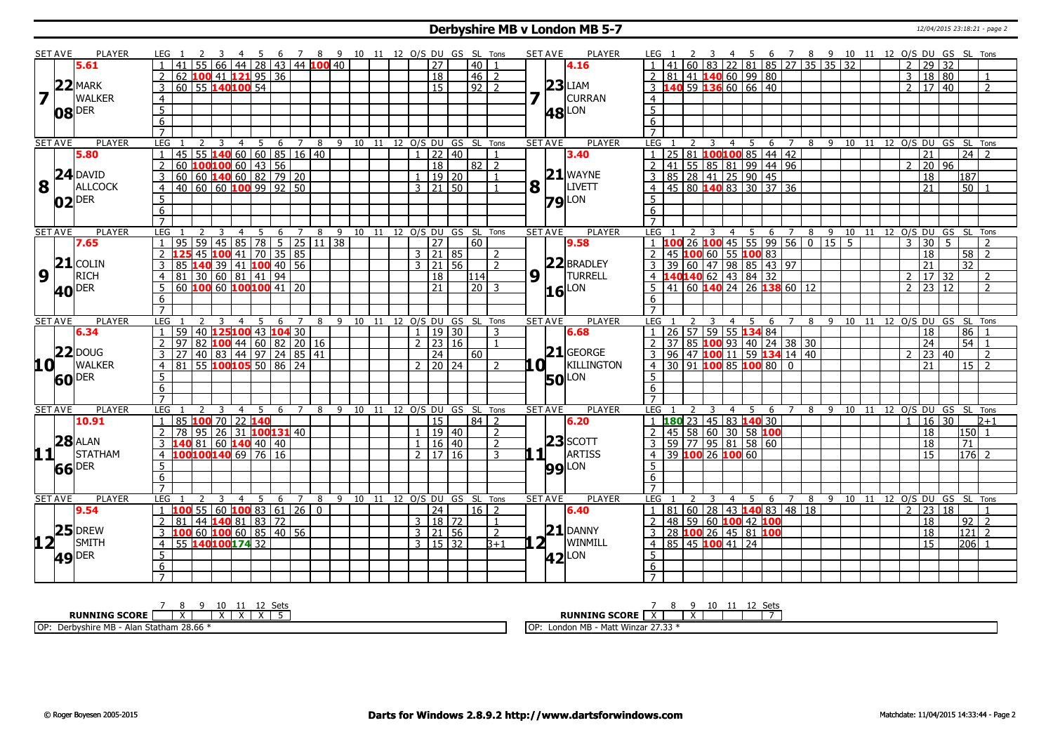#### **Derbyshire MB v London MB 5-7** 12/04/2015 23:18:21 - page 2

|                         | <b>SET AVE</b>   | <b>PLAYER</b>       | LEG 1           |                             |                 |                      |                |    |                                                                 |                |                |  |  |              |                     |       | 4 5 6 7 8 9 10 11 12 O/S DU GS SL Tons |                |   | <b>SET AVE</b>     | <b>PLAYER</b>       | LEG 1                                                                |   |                         |                      |                            |                |    |              | 4 5 6 7 8 9 10 11 12 O/S DU GS SL Tons |  |                |                            |                |                     |                |
|-------------------------|------------------|---------------------|-----------------|-----------------------------|-----------------|----------------------|----------------|----|-----------------------------------------------------------------|----------------|----------------|--|--|--------------|---------------------|-------|----------------------------------------|----------------|---|--------------------|---------------------|----------------------------------------------------------------------|---|-------------------------|----------------------|----------------------------|----------------|----|--------------|----------------------------------------|--|----------------|----------------------------|----------------|---------------------|----------------|
|                         |                  | 5.61                |                 |                             | 55              |                      |                |    | 66   44   28   43   44   100   40                               |                |                |  |  |              | $\overline{27}$     |       | 40                                     | $\overline{1}$ |   |                    | 4.16                |                                                                      |   |                         |                      | 60 83 22 81 85 27 35 35 32 |                |    |              |                                        |  |                | 2   29   32                |                |                     |                |
|                         |                  |                     |                 | 62                          |                 | $100$ 41 $121$ 95 36 |                |    |                                                                 |                |                |  |  |              | $\overline{18}$     |       | $46$   2                               |                |   |                    |                     | $2 \mid 81 \mid 41$ 140 60 99 80                                     |   |                         |                      |                            |                |    |              |                                        |  | $\overline{3}$ | 18 80                      |                |                     |                |
|                         |                  | $22$ MARK           | 3               | 60 55 140 100 54            |                 |                      |                |    |                                                                 |                |                |  |  |              | $\overline{15}$     |       | $92$   2                               |                |   |                    | $23$ LIAM           | $3\overline{)140}59\overline{)136}60\overline{)66\overline{)40}$     |   |                         |                      |                            |                |    |              |                                        |  |                | $2 \mid 17 \mid 40$        |                |                     | 2              |
| $\overline{\mathbf{z}}$ |                  | <b>WALKER</b>       |                 |                             |                 |                      |                |    |                                                                 |                |                |  |  |              |                     |       |                                        |                | 7 |                    | <b>CURRAN</b>       | $\overline{4}$                                                       |   |                         |                      |                            |                |    |              |                                        |  |                |                            |                |                     |                |
|                         |                  |                     | $\overline{4}$  |                             |                 |                      |                |    |                                                                 |                |                |  |  |              |                     |       |                                        |                |   |                    |                     |                                                                      |   |                         |                      |                            |                |    |              |                                        |  |                |                            |                |                     |                |
|                         | 08               | <b>DER</b>          | $\overline{5}$  |                             |                 |                      |                |    |                                                                 |                |                |  |  |              |                     |       |                                        |                |   |                    | <b>48</b> LON       | $\overline{5}$                                                       |   |                         |                      |                            |                |    |              |                                        |  |                |                            |                |                     |                |
|                         |                  |                     | $\overline{6}$  |                             |                 |                      |                |    |                                                                 |                |                |  |  |              |                     |       |                                        |                |   |                    |                     | 6                                                                    |   |                         |                      |                            |                |    |              |                                        |  |                |                            |                |                     |                |
|                         |                  |                     | $\overline{7}$  |                             |                 |                      |                |    |                                                                 |                |                |  |  |              |                     |       |                                        |                |   |                    |                     | $\overline{7}$                                                       |   |                         |                      |                            |                |    |              |                                        |  |                |                            |                |                     |                |
|                         | SET AVE          | <b>PLAYER</b>       | LEG             |                             | $\overline{2}$  | 3                    | $\overline{4}$ | 5  | 6                                                               | 7              | 8              |  |  |              |                     |       | 9 10 11 12 O/S DU GS SL Tons           |                |   | <b>SET AVE</b>     | <b>PLAYER</b>       | LEG                                                                  | 2 | 3                       | $\overline{4}$<br>5  | 6                          | $\overline{7}$ |    |              | 8 9 10 11 12 0/S DU GS SL Tons         |  |                |                            |                |                     |                |
|                         |                  | 5.80                | $\mathbf{1}$    | 45                          |                 |                      |                |    | $55$ <b>140</b> 60 60 85 16 40                                  |                |                |  |  |              | $1$   22   40       |       |                                        | $\overline{1}$ |   |                    | 3.40                | 1 25 81 <b>100 100</b> 85 44 42                                      |   |                         |                      |                            |                |    |              |                                        |  |                | 21                         |                | $\overline{24}$   2 |                |
|                         |                  |                     | 2               | $60$ <b>100100</b> 60 43 56 |                 |                      |                |    |                                                                 |                |                |  |  |              | $\overline{18}$     |       | $82$   2                               |                |   |                    |                     | 2 41 55 85 81 99 44 96                                               |   |                         |                      |                            |                |    |              |                                        |  | $\overline{2}$ | 20 96                      |                |                     |                |
|                         |                  | $24$ DAVID          | 3               |                             |                 |                      |                |    |                                                                 |                |                |  |  |              | $1 \mid 19 \mid 20$ |       |                                        | $\overline{1}$ |   |                    | $21$ WAYNE          | 3   85   28   41   25   90   45                                      |   |                         |                      |                            |                |    |              |                                        |  |                | $\overline{18}$            |                | 187                 |                |
|                         | $ {\bf 8}$ $ $ . | ALLCOCK             | $\overline{4}$  |                             |                 |                      |                |    |                                                                 |                |                |  |  |              | $3 \mid 21 \mid 50$ |       |                                        | $\overline{1}$ | 8 |                    | <b>LIVETT</b>       | 4 4 5 80 140 83 30 37 36                                             |   |                         |                      |                            |                |    |              |                                        |  |                | 21                         |                | $\overline{50}$     |                |
|                         |                  | $02$ <sup>DER</sup> | $\overline{5}$  |                             |                 |                      |                |    |                                                                 |                |                |  |  |              |                     |       |                                        |                |   |                    | $79$ <sup>LON</sup> | 5                                                                    |   |                         |                      |                            |                |    |              |                                        |  |                |                            |                |                     |                |
|                         |                  |                     | 6               |                             |                 |                      |                |    |                                                                 |                |                |  |  |              |                     |       |                                        |                |   |                    |                     | 6                                                                    |   |                         |                      |                            |                |    |              |                                        |  |                |                            |                |                     |                |
|                         |                  |                     | $\overline{7}$  |                             |                 |                      |                |    |                                                                 |                |                |  |  |              |                     |       |                                        |                |   |                    |                     |                                                                      |   |                         |                      |                            |                |    |              |                                        |  |                |                            |                |                     |                |
|                         | <b>SET AVE</b>   | <b>PLAYER</b>       | LEG             |                             |                 | 3                    | $\overline{4}$ | 5  |                                                                 |                |                |  |  |              |                     |       | 6 7 8 9 10 11 12 O/S DU GS SL Tons     |                |   | <b>SET AVE</b>     | <b>PLAYER</b>       | LEG                                                                  |   | $\overline{\mathbf{3}}$ |                      |                            |                |    |              | 4 5 6 7 8 9 10 11 12 O/S DU GS SL Tons |  |                |                            |                |                     |                |
|                         |                  | 7.65                |                 | 95                          | $\overline{59}$ |                      |                |    | $\vert 45 \vert 85 \vert 78 \vert 5 \vert 25 \vert 11 \vert 38$ |                |                |  |  |              | $\overline{27}$     |       | 60                                     |                |   |                    | 9.58                | $1 \overline{100}$ 26 $\overline{100}$ 45 55 99 56 0 15 5            |   |                         |                      |                            |                |    |              |                                        |  | $\overline{3}$ | 30                         | $\overline{5}$ |                     |                |
|                         |                  |                     |                 |                             | 45              |                      |                |    | 100 41 70 35 85                                                 |                |                |  |  |              | $3 \mid 21 \mid 85$ |       |                                        | $\overline{2}$ |   |                    |                     | 2 45 100 60 55 100 83                                                |   |                         |                      |                            |                |    |              |                                        |  |                | 18                         |                | $\overline{58}$     | 2              |
|                         |                  | $21$ COLIN          | $\overline{3}$  | 85                          | 140             | 39                   |                |    | $141$ 100 40 56                                                 |                |                |  |  |              | $3 \mid 21 \mid 56$ |       |                                        | $\overline{2}$ |   |                    | 22 BRADLEY          | 3 39 60 47 98 85 43 97                                               |   |                         |                      |                            |                |    |              |                                        |  |                | 21                         |                | $\overline{32}$     |                |
|                         | 9 T              | RICH                | $\overline{4}$  | 81                          |                 | 30 60 81 41 94       |                |    |                                                                 |                |                |  |  |              | 18                  |       | 114                                    |                | 9 |                    | <b>TURRELL</b>      | 4 140140 62 43 84 32                                                 |   |                         |                      |                            |                |    |              |                                        |  | $\overline{2}$ | 17 32                      |                |                     | 2              |
|                         |                  | 40 DER              | 5               | 60 100 60 100 100 41 20     |                 |                      |                |    |                                                                 |                |                |  |  |              | 21                  |       | $\frac{1}{20}$ 3                       |                |   |                    | LON                 | $5   41   60   140   24   26   138   60   12$                        |   |                         |                      |                            |                |    |              |                                        |  |                | $2$   23   12              |                |                     | $\mathcal{L}$  |
|                         |                  |                     | 6               |                             |                 |                      |                |    |                                                                 |                |                |  |  |              |                     |       |                                        |                |   | 16                 |                     | 6                                                                    |   |                         |                      |                            |                |    |              |                                        |  |                |                            |                |                     |                |
|                         |                  |                     | $\overline{7}$  |                             |                 |                      |                |    |                                                                 |                |                |  |  |              |                     |       |                                        |                |   |                    |                     | $\overline{7}$                                                       |   |                         |                      |                            |                |    |              |                                        |  |                |                            |                |                     |                |
|                         | <b>SET AVE</b>   | <b>PLAYER</b>       | LEG             |                             |                 | 3                    | $\overline{4}$ | 5  | 6                                                               | $\overline{Z}$ | 8              |  |  |              |                     |       | 9 10 11 12 0/S DU GS SL Tons           |                |   | <b>SET AVE</b>     | <b>PLAYER</b>       | LEG                                                                  |   | 3                       | 4 5                  |                            | 6 7            |    |              | 8 9 10 11 12 0/S DU GS                 |  |                |                            |                | SL Tons             |                |
|                         |                  | 6.34                | $\overline{1}$  | 59                          |                 |                      |                |    | 40 125 100 43 104 30                                            |                |                |  |  |              | $1 \mid 19 \mid 30$ |       |                                        | 3              |   |                    | 6.68                | 1 26 57 59 55 134 84                                                 |   |                         |                      |                            |                |    |              |                                        |  |                | 18                         |                | $86$   1            |                |
|                         |                  |                     | $\overline{2}$  | 97                          | $\overline{82}$ |                      |                |    | $100$ 44 60 82 20 16                                            |                |                |  |  |              | $2 \mid 23 \mid 16$ |       |                                        | $\overline{1}$ |   |                    |                     | 2 37 85 100 93 40 24 38 30                                           |   |                         |                      |                            |                |    |              |                                        |  |                | 24                         |                | $54$ 1              |                |
|                         |                  | $22$ DOUG           | 3               |                             |                 |                      |                |    | 40 83 44 97 24 85 41                                            |                |                |  |  |              | 24                  |       | 60                                     |                |   |                    | $21$ GEORGE         | 3 96 47 100 11 59 134 14 40                                          |   |                         |                      |                            |                |    |              |                                        |  | $\overline{2}$ | 23 40                      |                |                     | $\overline{2}$ |
|                         | 10 L             | <b>WALKER</b>       | $\overline{4}$  | 81                          |                 |                      |                |    | $55$ 100 105 50 86 24                                           |                |                |  |  |              | $2$   20   24       |       |                                        | $\overline{2}$ |   | .O I               | KILLINGTON          | 4 30 91 100 85 100 80 0                                              |   |                         |                      |                            |                |    |              |                                        |  |                | 21                         |                | $15$   2            |                |
|                         |                  |                     |                 |                             |                 |                      |                |    |                                                                 |                |                |  |  |              |                     |       |                                        |                |   |                    |                     |                                                                      |   |                         |                      |                            |                |    |              |                                        |  |                |                            |                |                     |                |
|                         |                  | 60 DER              | 5               |                             |                 |                      |                |    |                                                                 |                |                |  |  |              |                     |       |                                        |                |   |                    | <b>50</b> LON       | 5                                                                    |   |                         |                      |                            |                |    |              |                                        |  |                |                            |                |                     |                |
|                         |                  |                     | $6\overline{6}$ |                             |                 |                      |                |    |                                                                 |                |                |  |  |              |                     |       |                                        |                |   |                    |                     | 6 <sup>2</sup>                                                       |   |                         |                      |                            |                |    |              |                                        |  |                |                            |                |                     |                |
|                         |                  |                     | $\overline{7}$  |                             |                 |                      |                |    |                                                                 |                |                |  |  |              |                     |       |                                        |                |   |                    |                     | $\overline{7}$                                                       |   |                         |                      |                            |                |    |              |                                        |  |                |                            |                |                     |                |
|                         | <b>SET AVE</b>   | <b>PLAYER</b>       | LEG             |                             |                 | 3                    | 4              | -5 | 6                                                               | $\overline{7}$ | 8              |  |  |              |                     |       | 9 10 11 12 O/S DU GS SL Tons           |                |   | <b>SET AVE</b>     | <b>PLAYER</b>       | LEG                                                                  |   |                         | $\overline{4}$<br>-5 | 6                          |                | 8  | $\mathsf{q}$ |                                        |  |                | 10 11 12 O/S DU GS SL Tons |                |                     |                |
|                         |                  | 10.91               | 1               | 85                          |                 | $100$ 70 22 140      |                |    |                                                                 |                |                |  |  |              | 15                  |       | $84$   2                               |                |   |                    | 6.20                | 1 180 23 45 83 140 30                                                |   |                         |                      |                            |                |    |              |                                        |  | $\mathbf{1}$   | $16 \mid 30$               |                |                     | $2 + 1$        |
|                         |                  |                     | $\overline{2}$  | 78                          | $\sqrt{95}$     |                      |                |    | 26 31 <b>100131</b> 40                                          |                |                |  |  |              |                     | 19 40 |                                        | 2              |   |                    |                     | 2                                                                    |   |                         |                      | $145$ 58 60 30 58 100      |                |    |              |                                        |  |                | 18                         |                | l150  1             |                |
|                         |                  | $28$ $ALAN$         | 3               |                             |                 | 81 60 140 40 40      |                |    |                                                                 |                |                |  |  | $\mathbf{1}$ | 16 40               |       |                                        | $\overline{2}$ |   |                    | $23$ SCOTT          | 3 59 77 95 81 58 60                                                  |   |                         |                      |                            |                |    |              |                                        |  |                | 18                         |                | 71                  |                |
|                         | 11               | <b>STATHAM</b>      | $\overline{4}$  | 100100140 69 76 16          |                 |                      |                |    |                                                                 |                |                |  |  |              | 2   17   16         |       |                                        | 3              |   | $1\!\!1$           | ARTISS              | 4 39 100 26 100 60                                                   |   |                         |                      |                            |                |    |              |                                        |  |                | $\overline{15}$            |                | $176$ 2             |                |
|                         |                  | 66 DER              | 5               |                             |                 |                      |                |    |                                                                 |                |                |  |  |              |                     |       |                                        |                |   |                    | <b>99</b> LON       | 5 <sup>1</sup>                                                       |   |                         |                      |                            |                |    |              |                                        |  |                |                            |                |                     |                |
|                         |                  |                     | 6               |                             |                 |                      |                |    |                                                                 |                |                |  |  |              |                     |       |                                        |                |   |                    |                     | 6                                                                    |   |                         |                      |                            |                |    |              |                                        |  |                |                            |                |                     |                |
|                         |                  |                     | $\overline{7}$  |                             |                 |                      |                |    |                                                                 |                |                |  |  |              |                     |       |                                        |                |   |                    |                     | $7^{\circ}$                                                          |   |                         |                      |                            |                |    |              |                                        |  |                |                            |                |                     |                |
|                         | <b>SET AVE</b>   | <b>PLAYER</b>       | <b>LEG</b>      |                             |                 | 3                    | $\overline{4}$ | -5 | 6                                                               | 7              | 8              |  |  |              |                     |       | 9 10 11 12 O/S DU GS SL Tons           |                |   | <b>SET AVE</b>     | <b>PLAYER</b>       | LEG                                                                  |   | $\overline{4}$          | - 5                  | 6                          | $\overline{7}$ | 89 |              | 10 11 12 O/S DU GS SL Tons             |  |                |                            |                |                     |                |
|                         |                  | 9.54                | $\mathbf{1}$    | 100                         |                 |                      |                |    | 55 60 100 83 61 26                                              |                | $\overline{0}$ |  |  |              | 24                  |       | $16$   2                               |                |   |                    | 6.40                | $1 \mid 81 \mid 60 \mid 28 \mid 43 \mid 140 \mid 83 \mid 48 \mid 18$ |   |                         |                      |                            |                |    |              |                                        |  | $\overline{2}$ | 23 18                      |                |                     |                |
|                         |                  |                     | 2               | 81                          |                 | 44 140 81 83 72      |                |    |                                                                 |                |                |  |  |              | 3   18   72         |       |                                        | $\overline{1}$ |   |                    |                     | 2   48   59   60   100   42   100                                    |   |                         |                      |                            |                |    |              |                                        |  |                | 18                         |                | $92$   2            |                |
|                         | 25               | <b>DREW</b>         | 3               | ı or                        |                 |                      |                |    | $60$ 100 60 85 40 56                                            |                |                |  |  |              | 3   21   56         |       |                                        | $\overline{2}$ |   |                    | $21$ DANNY          | 3 28 100 26 45 81 100                                                |   |                         |                      |                            |                |    |              |                                        |  |                | 18                         |                | 121                 | $\sqrt{2}$     |
| 12 <sub>1</sub>         |                  | SMITH               | $\overline{4}$  | 55 140100174 32             |                 |                      |                |    |                                                                 |                |                |  |  |              | $3 \mid 15 \mid 32$ |       |                                        | $3 + 1$        |   | $2^{\overline{1}}$ | WINMILL             | 4   85   45   100   41   24                                          |   |                         |                      |                            |                |    |              |                                        |  |                | $\overline{15}$            |                | 206 1               |                |
|                         |                  | <b>DER</b>          | $\overline{5}$  |                             |                 |                      |                |    |                                                                 |                |                |  |  |              |                     |       |                                        |                |   |                    | $ 42 $ LON          | 5                                                                    |   |                         |                      |                            |                |    |              |                                        |  |                |                            |                |                     |                |
|                         | 49               |                     | 6               |                             |                 |                      |                |    |                                                                 |                |                |  |  |              |                     |       |                                        |                |   |                    |                     | 6                                                                    |   |                         |                      |                            |                |    |              |                                        |  |                |                            |                |                     |                |
|                         |                  |                     | $\overline{7}$  |                             |                 |                      |                |    |                                                                 |                |                |  |  |              |                     |       |                                        |                |   |                    |                     |                                                                      |   |                         |                      |                            |                |    |              |                                        |  |                |                            |                |                     |                |
|                         |                  |                     |                 |                             |                 |                      |                |    |                                                                 |                |                |  |  |              |                     |       |                                        |                |   |                    |                     |                                                                      |   |                         |                      |                            |                |    |              |                                        |  |                |                            |                |                     |                |

| ~⊷<br>$\overline{1}$                                                                               | ーー                                                                             |
|----------------------------------------------------------------------------------------------------|--------------------------------------------------------------------------------|
| <b>RUNNING SCORE</b>                                                                               | <b>RUNNING SCORE</b>                                                           |
| 0 <sup>0</sup><br>OP: Der<br>: MB<br>- Alan<br>د موسس سیمان که ۱۰<br>Derbyshire<br>. Statham 28.66 | $\sim$ $\sim$<br><b>Winzar 27.3.</b><br>МB<br>$M - L$<br>l OF<br>.<br>- 171-11 |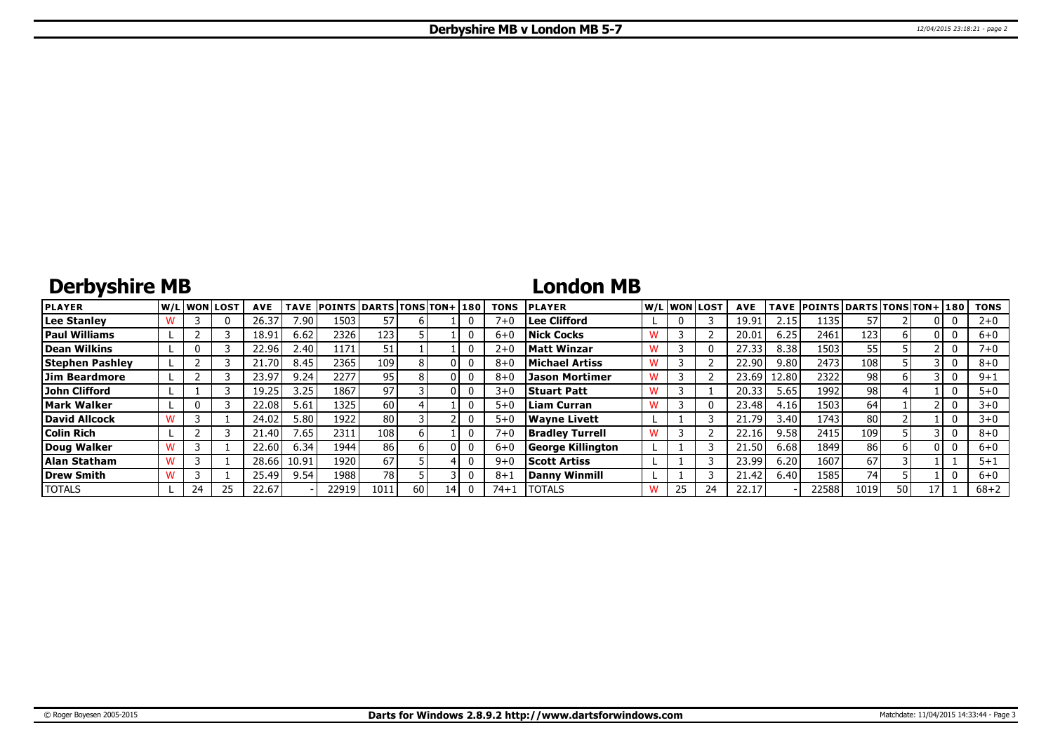## **Derbyshire MB**

### **London MB**

| <b>PLAYER</b>          |    | W/Liwonilost! | <b>AVE</b> |                 | TAVE POINTS DARTS TONS TON+ 180 |      |      |    | <b>TONS</b> | <b>IPLAYER</b>         |    | W/Liwonilost/ | <b>AVE</b> |       | TAVE POINTS DARTS TONS TON+ 180 |      |    |   | <b>TONS</b> |
|------------------------|----|---------------|------------|-----------------|---------------------------------|------|------|----|-------------|------------------------|----|---------------|------------|-------|---------------------------------|------|----|---|-------------|
| <b>Lee Stanley</b>     |    |               | 26.37      | 7.90            | 1503                            | 57   |      |    | $7 + C$     | Lee Clifford           | 0  |               | 19.91      | 2.15  | 1135                            |      |    |   | $2 + 0$     |
| <b>Paul Williams</b>   |    |               | 18.91      | 6.62            | 2326 l                          | 123  |      |    | $6 + C$     | <b>Nick Cocks</b>      |    |               | 20.01      | 6.25  | 2461                            | 123  |    | 0 | $6+0$       |
| Dean Wilkins           |    |               | 22.96      | 2.40            | 1171                            | 51   |      |    | $2 + 0$     | <b>Matt Winzar</b>     |    |               | 27.33      | 8.38  | 1503                            | 55   |    |   | 7+0         |
| <b>Stephen Pashley</b> |    |               | 21.70      | 8.45            | 2365                            | 109  |      |    | $8 + C$     | Michael Artiss         |    |               | 22.90      | 9.80  | 2473                            | 108  |    |   | $8 + 0$     |
| Jim Beardmore          |    |               | 23.97      | 9.24            | 2277                            | 95   |      |    | $8 + C$     | Jason Mortimer         |    |               | 23.69      | 12.80 | 2322                            | 98   |    |   | $9 + 1$     |
| John Clifford          |    |               | 19.25      | 3.25            | 1867                            | 97   |      |    | $3 + 0$     | <b>Stuart Patt</b>     |    |               | 20.33      | 5.65  | 1992                            | 98   |    |   | $5 + 0$     |
| <b>Mark Walker</b>     |    |               | 22.08      | 5.61            | 1325                            | 60   |      |    | $5 + 0$     | Liam Curran            |    |               | 23.48      | 4.16  | 1503                            | 64   |    |   | $3 + 0$     |
| David Allcock          |    |               | 24.02      | 5.80            | 1922                            | 80   |      |    | $5 + 0$     | Wavne Livett           |    |               | 21.79      | 3.40  | 1743                            | 80 l |    |   | $3 + 0$     |
| <b>Colin Rich</b>      |    |               | 21.40      | $^{\prime}$ .65 | 2311                            | 108  |      |    | $7 + 0$     | <b>Bradley Turrell</b> |    |               | 22.16      | 9.58  | 2415                            | 109  |    |   | $8 + 0$     |
| Doug Walker            |    |               | 22.60      | 6.34            | 1944                            | 86   |      |    | $6 + 0$     | George Killington      |    |               | 21.50      | 6.68  | 1849                            | 86   |    | 0 | $6+0$       |
| Alan Statham           |    |               | 28.66      | 10.91           | 1920                            | 67   |      |    | $9 + C$     | <b>Scott Artiss</b>    |    |               | 23.99      | 6.20  | 1607                            | 67   |    |   | $5 + 1$     |
| Drew Smith             |    |               | 25.49      | 9.54            | 1988                            | 78   |      |    | $8 + 1$     | Danny Winmill          |    |               | 21.42      | 6.40  | 1585                            | 74   |    |   | $6 + 0$     |
| <b>TOTALS</b>          | 24 | 25            | 22.67      |                 | 22919                           | 1011 | 60 I | 14 | 74+1        | <b>TOTALS</b>          | 25 |               | 22.17      |       | 22588                           | 1019 | 50 |   | $68 + 2$    |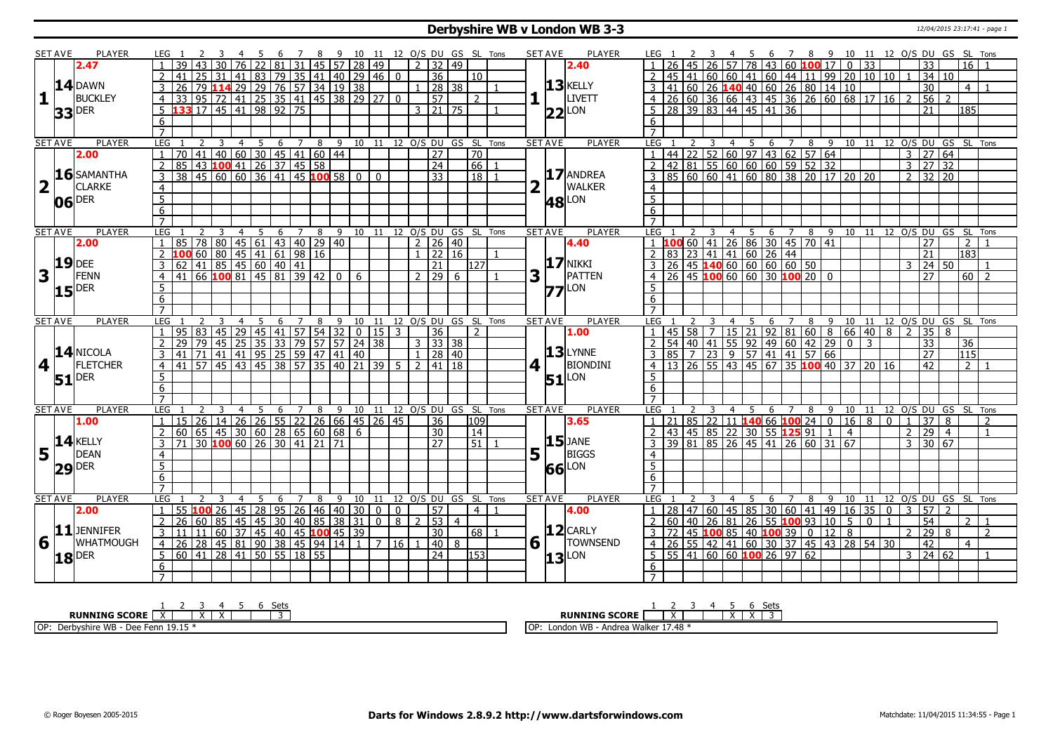#### **Derbyshire WB v London WB 3-3** 12/04/2015 23:17:41 - page 1

|                         | SET AVE        | PLAYER              | LEG 1           |           |    |    |                 | -5 |                                              |                     | 8  |                                                                                         |                      |                          |                |                     |                     |                |                            | 9 10 11 12 O/S DU GS SL Tons |   | <b>SET AVE</b> | <b>PLAYER</b>       |                |  |                |                |                                                                                | 6                   |   |    |                                |                    |              |                |                |                                   |                  | 7 8 9 10 11 12 O/S DU GS SL Tons       |  |
|-------------------------|----------------|---------------------|-----------------|-----------|----|----|-----------------|----|----------------------------------------------|---------------------|----|-----------------------------------------------------------------------------------------|----------------------|--------------------------|----------------|---------------------|---------------------|----------------|----------------------------|------------------------------|---|----------------|---------------------|----------------|--|----------------|----------------|--------------------------------------------------------------------------------|---------------------|---|----|--------------------------------|--------------------|--------------|----------------|----------------|-----------------------------------|------------------|----------------------------------------|--|
|                         |                | 2.47                |                 |           |    |    | $\overline{76}$ |    | 81                                           | 31                  |    | 45   57   28                                                                            |                      | 49                       |                |                     | $2 \mid 32 \mid 49$ |                |                            |                              |   |                | 2.40                |                |  |                | 57             | <b>78</b>                                                                      | 43 60 100 17        |   |    |                                | $\mathbf{0}$       |              |                |                | 33                                |                  | 16                                     |  |
|                         |                |                     |                 |           | 25 | 31 |                 |    |                                              |                     |    | 41   83   79   35   41   40   29   46   0                                               |                      |                          |                |                     | $\overline{36}$     |                | $10^{-}$                   |                              |   |                |                     |                |  |                |                | 45 41 60 60 41 60 44 11 99 20 10 10                                            |                     |   |    |                                |                    |              |                |                | 34 10                             |                  |                                        |  |
|                         |                | <b>14 DAWN</b>      | 3               |           |    |    |                 |    |                                              |                     |    |                                                                                         |                      |                          |                | $\mathbf{1}$        | 28 38               |                |                            |                              |   |                | $13$ <b>KELLY</b>   |                |  |                |                |                                                                                |                     |   |    |                                |                    |              |                |                | 30                                |                  | $\overline{4}$                         |  |
| 11                      |                | <b>BUCKLEY</b>      | $\overline{4}$  |           |    |    |                 |    |                                              |                     |    | <u>26</u> 79 <b>114</b> 29 29 76 57 34 19 38<br>33 95 72 41 25 35 41 45 38 29 27        |                      |                          | $\overline{0}$ |                     | $\overline{57}$     |                | $\overline{2}$             |                              |   |                | <b>LIVETT</b>       | 4 <sup>1</sup> |  |                |                | 41 60 26 <b>140</b> 40 60 26 80 14 10<br>26 60 36 66 43 45 36 26 60 68 17 16 2 |                     |   |    |                                |                    |              |                |                | $56$ 2                            |                  |                                        |  |
|                         |                |                     |                 |           |    |    |                 |    | $\overline{33}$ 17 45 41 98 92               | $\overline{75}$     |    |                                                                                         |                      |                          |                |                     | $3 \mid 21 \mid 75$ |                |                            |                              |   |                |                     |                |  |                |                |                                                                                |                     |   |    |                                |                    |              |                |                | 21                                |                  | 185                                    |  |
|                         |                | <b>33</b> DER       | 5               |           |    |    |                 |    |                                              |                     |    |                                                                                         |                      |                          |                |                     |                     |                |                            |                              |   |                | $22$ LON            | 5              |  |                |                | 28 39 83 44 45 41 36                                                           |                     |   |    |                                |                    |              |                |                |                                   |                  |                                        |  |
|                         |                |                     | 6               |           |    |    |                 |    |                                              |                     |    |                                                                                         |                      |                          |                |                     |                     |                |                            |                              |   |                |                     | 6              |  |                |                |                                                                                |                     |   |    |                                |                    |              |                |                |                                   |                  |                                        |  |
|                         |                |                     | $\overline{7}$  |           |    |    |                 |    |                                              |                     |    |                                                                                         |                      |                          |                |                     |                     |                |                            |                              |   |                |                     |                |  |                |                |                                                                                |                     |   |    |                                |                    |              |                |                |                                   |                  |                                        |  |
|                         | <b>SET AVE</b> | <b>PLAYER</b>       | LEG             |           | 2  | 3  | $\overline{4}$  | 5  | 6                                            | $\overline{7}$      | 8  |                                                                                         |                      |                          |                |                     |                     |                |                            | 9 10 11 12 0/S DU GS SL Tons |   | <b>SET AVE</b> | <b>PLAYER</b>       | LEG            |  |                |                |                                                                                |                     |   |    |                                |                    |              |                |                |                                   |                  | 6 7 8 9 10 11 12 0/S DU GS SL Tons     |  |
|                         |                | 2.00                | 1               |           |    |    |                 |    |                                              |                     |    | 70 41 40 60 30 45 41 60 44<br>85 43 100 41 26 37 45 58<br>38 45 60 60 36 41 45 100 58 0 |                      |                          |                |                     | $\overline{27}$     |                | 70                         |                              |   |                |                     |                |  |                |                |                                                                                |                     |   |    |                                |                    |              |                |                | $3 \mid 27 \mid 64$               |                  |                                        |  |
|                         |                |                     | $\overline{2}$  |           |    |    |                 |    |                                              |                     |    |                                                                                         |                      |                          |                |                     | $\overline{24}$     |                | 66                         |                              |   |                |                     |                |  |                |                |                                                                                |                     |   |    |                                |                    |              |                |                | $3 \mid 27 \mid 32$               |                  |                                        |  |
|                         |                | 16 SAMANTHA         | $\overline{3}$  |           |    |    |                 |    |                                              |                     |    |                                                                                         |                      | $\mathbf{0}$             |                |                     | $\overline{33}$     |                | 18                         |                              |   |                | 17 ANDREA           |                |  |                |                | 85 60 60 41 60 80 38 20 17 20 20                                               |                     |   |    |                                |                    |              |                |                | $2 \overline{)32} \overline{)20}$ |                  |                                        |  |
| $\overline{\mathbf{2}}$ |                | <b>CLARKE</b>       | $\overline{4}$  |           |    |    |                 |    |                                              |                     |    |                                                                                         |                      |                          |                |                     |                     |                |                            |                              |   |                | <b>WALKER</b>       | $\overline{4}$ |  |                |                |                                                                                |                     |   |    |                                |                    |              |                |                |                                   |                  |                                        |  |
|                         |                | <b>06</b> DER       | $\overline{5}$  |           |    |    |                 |    |                                              |                     |    |                                                                                         |                      |                          |                |                     |                     |                |                            |                              |   |                | $ 48 $ LON          | $\overline{5}$ |  |                |                |                                                                                |                     |   |    |                                |                    |              |                |                |                                   |                  |                                        |  |
|                         |                |                     | 6               |           |    |    |                 |    |                                              |                     |    |                                                                                         |                      |                          |                |                     |                     |                |                            |                              |   |                |                     | 6              |  |                |                |                                                                                |                     |   |    |                                |                    |              |                |                |                                   |                  |                                        |  |
|                         |                |                     |                 |           |    |    |                 |    |                                              |                     |    |                                                                                         |                      |                          |                |                     |                     |                |                            |                              |   |                |                     |                |  |                |                |                                                                                |                     |   |    |                                |                    |              |                |                |                                   |                  |                                        |  |
|                         | <b>SET AVE</b> | <b>PLAYER</b>       | LEG             |           |    | -3 | $\overline{4}$  | 5  |                                              | $6 \quad 7 \quad 8$ |    | 9 10 11 12 O/S DU GS SL Tons                                                            |                      |                          |                |                     |                     |                |                            |                              |   | <b>SET AVE</b> | <b>PLAYER</b>       | <b>LEG</b>     |  | $\overline{3}$ |                |                                                                                |                     |   |    |                                |                    |              |                |                |                                   |                  | 4 5 6 7 8 9 10 11 12 O/S DU GS SL Tons |  |
|                         |                | 2.00                |                 | 85        |    |    |                 |    | 78   80   45   61   43   40   29   40        |                     |    |                                                                                         |                      |                          |                |                     | 2   26   40         |                |                            |                              |   |                | 4.40                |                |  |                |                | $\overline{00}$ 60   41   26   86   30   45   70   41                          |                     |   |    |                                |                    |              |                |                | 27                                |                  |                                        |  |
|                         |                |                     |                 |           |    |    |                 |    | <mark>100</mark> 60 80 45 41 61 98 16        |                     |    |                                                                                         |                      |                          |                |                     | $1 \ 22 \ 16$       |                |                            |                              |   |                |                     |                |  |                |                | $83$ 23 41 41 60 26 44                                                         |                     |   |    |                                |                    |              |                |                | $\overline{21}$                   |                  | $\overline{183}$                       |  |
|                         |                | $19$ DEE            | $\overline{3}$  |           |    |    |                 |    | 62 41 85 45 60 40 41                         |                     |    |                                                                                         |                      |                          |                |                     | 21                  |                | 127                        |                              |   |                | <b>17 NIKKI</b>     | $\overline{3}$ |  |                |                | $26 \mid 45$ 140 60 60 60 60 50                                                |                     |   |    |                                |                    |              |                | 3              | 24 50                             |                  |                                        |  |
| 3                       |                | FENN                | $\overline{4}$  |           |    |    |                 |    | $41 \overline{)66}$ 100 81 45 81 39 42       |                     |    | $\overline{0}$                                                                          | 6                    |                          |                | $\overline{2}$      | 29                  | 6              |                            |                              | 3 |                | PATTEN              |                |  |                |                | $26$ 45 100 60 60 30 100 20 0                                                  |                     |   |    |                                |                    |              |                |                | 27                                |                  | 60 2                                   |  |
|                         |                |                     | $5\overline{5}$ |           |    |    |                 |    |                                              |                     |    |                                                                                         |                      |                          |                |                     |                     |                |                            |                              |   |                |                     | 5              |  |                |                |                                                                                |                     |   |    |                                |                    |              |                |                |                                   |                  |                                        |  |
|                         |                | $15$ <sup>DER</sup> | 6               |           |    |    |                 |    |                                              |                     |    |                                                                                         |                      |                          |                |                     |                     |                |                            |                              |   |                | $77$ LON            |                |  |                |                |                                                                                |                     |   |    |                                |                    |              |                |                |                                   |                  |                                        |  |
|                         |                |                     | $\overline{7}$  |           |    |    |                 |    |                                              |                     |    |                                                                                         |                      |                          |                |                     |                     |                |                            |                              |   |                |                     | 6              |  |                |                |                                                                                |                     |   |    |                                |                    |              |                |                |                                   |                  |                                        |  |
|                         |                | <b>PLAYER</b>       |                 |           |    |    |                 |    |                                              |                     |    |                                                                                         |                      |                          |                |                     |                     |                |                            |                              |   |                | <b>PLAYER</b>       |                |  |                |                |                                                                                |                     |   |    |                                |                    |              |                |                |                                   |                  |                                        |  |
|                         | <b>SET AVE</b> |                     | LEG             | 95        |    | 3  | $\overline{4}$  | -5 | 6<br>  83   45   29   45   41   57   54   32 | 7                   | 8  | 9                                                                                       | 10<br>$\overline{0}$ | 15 <sup>1</sup>          | $\mathcal{R}$  |                     | 36                  |                | $\mathcal{L}$              | 11 12 O/S DU GS SL Tons      |   | <b>SET AVE</b> | 1.00                | LEG            |  |                |                | 4 5<br>$145$   58   7   15   21   92   81   60   8   66   40   8   2           | 6                   |   |    |                                |                    |              |                |                | $35 \mid 8$                       |                  | 7 8 9 10 11 12 0/S DU GS SL Tons       |  |
|                         |                |                     |                 | 79        |    |    |                 |    |                                              |                     |    |                                                                                         |                      |                          |                |                     |                     |                |                            |                              |   |                |                     |                |  |                |                |                                                                                |                     |   |    |                                |                    |              |                |                |                                   |                  |                                        |  |
|                         |                | $14$ NICOLA         | $\overline{2}$  |           |    |    |                 |    | 79 45 25 35 33                               |                     |    | 79   57   57   24   38                                                                  |                      |                          |                |                     | $3 \mid 33 \mid 38$ |                |                            |                              |   |                | $13$ LYNNE          | $\overline{2}$ |  |                |                | $54   40   41   55   92   49   60   42   29   0$                               |                     |   |    |                                | $\overline{3}$     |              |                |                | $\overline{33}$                   |                  | 36                                     |  |
|                         |                |                     | 3               |           |    |    |                 |    |                                              |                     |    | <u>41 71 41 41 95 25 59 47 41 40</u><br>41 57 45 43 45 38 57 35 40 21                   |                      |                          |                | $1 \mid 28 \mid 40$ |                     |                |                            |                              |   |                |                     |                |  |                |                | 85 7 23 9 57 41 41 57 66                                                       |                     |   |    |                                |                    |              |                |                | $\overline{27}$                   | $\overline{115}$ |                                        |  |
| 4                       |                | <b>FLETCHER</b>     | $\overline{4}$  |           |    |    |                 |    |                                              |                     |    |                                                                                         |                      | 39                       | 5 <sup>1</sup> | 2  41  18           |                     |                |                            |                              | 4 |                | <b>BIONDINI</b>     | $\overline{4}$ |  |                |                | $\frac{13}{13}$ 26 55 43 45 67 35 100 40 37 20 16                              |                     |   |    |                                |                    |              |                |                | 42                                |                  | $\overline{2}$                         |  |
|                         |                | $51$ <sup>DER</sup> | $\overline{5}$  |           |    |    |                 |    |                                              |                     |    |                                                                                         |                      |                          |                |                     |                     |                |                            |                              |   |                | $51$ <sup>LON</sup> | 5              |  |                |                |                                                                                |                     |   |    |                                |                    |              |                |                |                                   |                  |                                        |  |
|                         |                |                     | 6               |           |    |    |                 |    |                                              |                     |    |                                                                                         |                      |                          |                |                     |                     |                |                            |                              |   |                |                     | 6              |  |                |                |                                                                                |                     |   |    |                                |                    |              |                |                |                                   |                  |                                        |  |
|                         |                |                     |                 |           |    |    |                 |    |                                              |                     |    |                                                                                         |                      |                          |                |                     |                     |                |                            |                              |   |                |                     |                |  |                |                |                                                                                |                     |   |    |                                |                    |              |                |                |                                   |                  |                                        |  |
|                         | <b>SET AVE</b> | <b>PLAYER</b>       | LEG             |           |    |    | $\overline{4}$  | 5  | 6                                            | $\overline{7}$      | 8  | 9                                                                                       |                      |                          |                |                     |                     |                | 10 11 12 0/S DU GS SL Tons |                              |   | <b>SET AVE</b> | <b>PLAYER</b>       | LEG            |  |                | $\overline{4}$ |                                                                                | $\overline{7}$<br>6 |   | 89 |                                |                    |              |                |                |                                   |                  | 10 11 12 O/S DU GS SL Tons             |  |
|                         |                | 1.00                | $\overline{1}$  |           |    |    |                 |    |                                              |                     |    | 15   26   14   26   26   55   22   26   66   45   26   45                               |                      |                          |                |                     | 36                  |                | 109                        |                              |   |                | 3.65                |                |  |                |                | 21   85   22   11 <b>140</b> 66 <b>100</b> 24   0                              |                     |   |    |                                | $16 \mid 8 \mid 0$ |              |                | $\vert$ 1      | 37                                | 8                | $\overline{2}$                         |  |
|                         |                |                     |                 |           |    |    |                 |    |                                              |                     |    | 65   45   30   60   28   65   60   68                                                   | l 6                  |                          |                |                     | 30                  |                | 14                         |                              |   |                |                     |                |  | 43 45 85 22 30 |                |                                                                                | 55 125 91           |   |    |                                | $\overline{4}$     |              |                | $\overline{2}$ | $\overline{29}$                   | $\overline{4}$   |                                        |  |
|                         |                | $14$ KELLY          |                 |           |    |    |                 |    | 30 100 60 26 30 41                           |                     | 21 | 71                                                                                      |                      |                          |                |                     | $\overline{27}$     |                | 51                         |                              |   |                |                     |                |  |                |                | 39 81 85 26 45 41 26                                                           |                     |   |    | $60$ 31 67                     |                    |              |                | $\overline{3}$ | 30 67                             |                  |                                        |  |
| 5                       |                | DEAN                | $\overline{4}$  |           |    |    |                 |    |                                              |                     |    |                                                                                         |                      |                          |                |                     |                     |                |                            |                              | 5 |                | $\frac{15}{1}$ JANE | $\overline{4}$ |  |                |                |                                                                                |                     |   |    |                                |                    |              |                |                |                                   |                  |                                        |  |
|                         |                | $29$ DER            | 5               |           |    |    |                 |    |                                              |                     |    |                                                                                         |                      |                          |                |                     |                     |                |                            |                              |   |                | 66 LON              | 5              |  |                |                |                                                                                |                     |   |    |                                |                    |              |                |                |                                   |                  |                                        |  |
|                         |                |                     | 6               |           |    |    |                 |    |                                              |                     |    |                                                                                         |                      |                          |                |                     |                     |                |                            |                              |   |                |                     | 6              |  |                |                |                                                                                |                     |   |    |                                |                    |              |                |                |                                   |                  |                                        |  |
|                         |                |                     | $\overline{7}$  |           |    |    |                 |    |                                              |                     |    |                                                                                         |                      |                          |                |                     |                     |                |                            |                              |   |                |                     | $\overline{7}$ |  |                |                |                                                                                |                     |   |    |                                |                    |              |                |                |                                   |                  |                                        |  |
|                         | <b>SET AVE</b> | PLAYER              | <b>LEG</b>      |           |    |    | 4               | 5  | 6                                            | $\overline{7}$      | 8  | 9                                                                                       | 10                   | 11                       |                |                     |                     |                | 12 O/S DU GS SL Tons       |                              |   | <b>SET AVE</b> | PLAYER              | <b>LEG</b>     |  |                |                |                                                                                | 6                   | 7 | 8  | 9                              | 10<br>11           |              |                |                |                                   |                  | 12 O/S DU GS SL Tons                   |  |
|                         |                | 2.00                |                 | 55 100 26 |    |    | $\overline{45}$ | 28 | 95                                           |                     |    | $\vert$ 26 $\vert$ 46 $\vert$ 40 $\vert$ 30                                             |                      | $\overline{\phantom{0}}$ | $\overline{0}$ |                     | $\overline{57}$     |                | 4 <sup>1</sup>             |                              |   |                | 4.00                |                |  |                |                | 28 47 60 45 85 30 60 41 49 16                                                  |                     |   |    |                                |                    | $3500$       |                | l 3            | 57                                |                  |                                        |  |
|                         |                |                     | <sup>2</sup>    | 26        |    |    |                 |    |                                              |                     |    | 60   85   45   45   30   40   85   38   31                                              |                      | $\overline{0}$           | $\infty$       | $\overline{2}$      | 53                  | $\overline{4}$ |                            |                              |   |                |                     | $\overline{z}$ |  |                |                | 60   40   26   81   26   55   100   93   10   5                                |                     |   |    |                                |                    | $\mathbf{0}$ | $\overline{1}$ |                | $\overline{54}$                   |                  | $2^{\circ}$                            |  |
|                         |                | $11$ JENNIFER       | $\overline{3}$  | 11        | 11 |    |                 |    |                                              |                     |    |                                                                                         |                      |                          |                |                     | $\overline{30}$     |                | 68                         |                              |   |                | $12$ CARLY          | 3              |  |                |                |                                                                                |                     |   |    | $\overline{12}$<br>$\boxed{8}$ |                    |              |                | 2              | $\overline{29}$                   | 8                | $\overline{2}$                         |  |
| 6                       |                | WHATMOUGH           |                 |           |    |    |                 |    |                                              |                     |    |                                                                                         |                      |                          |                |                     |                     |                |                            |                              | 6 |                | <b>TOWNSEND</b>     |                |  |                |                | 72 45 100 85 40 100 39 0                                                       |                     |   |    |                                |                    |              |                |                |                                   |                  |                                        |  |
|                         |                |                     | $\overline{4}$  |           |    |    |                 |    |                                              |                     |    | 26 28 45 81 90 38 45 94 14 1<br>60 41 28 41 50 55 18 55                                 |                      |                          | 7   16         | $\mathbf{1}$        | $\overline{40}$     | 8              |                            |                              |   |                |                     | 4 <sup>1</sup> |  |                |                | 26 55 42 41 60 30 37 45 43 28 54 30                                            |                     |   |    |                                |                    |              |                |                | 42                                |                  | $\overline{4}$                         |  |
|                         |                | $18$ <sup>DER</sup> | 5               |           |    |    |                 |    |                                              |                     |    |                                                                                         |                      |                          |                |                     | $\overline{24}$     |                | 153                        |                              |   |                | 13                  | -5             |  |                |                | $55 \mid 41 \mid 60 \mid 60$ 100 26 97 62                                      |                     |   |    |                                |                    |              |                |                | $3 \mid 24 \mid 62$               |                  |                                        |  |
|                         |                |                     | 6               |           |    |    |                 |    |                                              |                     |    |                                                                                         |                      |                          |                |                     |                     |                |                            |                              |   |                |                     | 6              |  |                |                |                                                                                |                     |   |    |                                |                    |              |                |                |                                   |                  |                                        |  |
|                         |                |                     |                 |           |    |    |                 |    |                                              |                     |    |                                                                                         |                      |                          |                |                     |                     |                |                            |                              |   |                |                     |                |  |                |                |                                                                                |                     |   |    |                                |                    |              |                |                |                                   |                  |                                        |  |

| Setc<br>---  | Sets                 |
|--------------|----------------------|
| <b>SCORE</b> | <b>RUNNING SCORE</b> |
| יים          | .                    |
| OP:          | $17.48 -$            |
| Fenn 19.15   | :OP                  |
| nire WB      | udon WP              |
| Dee          | Andrea Walker        |
| Derbys       | LON <sup>-</sup>     |